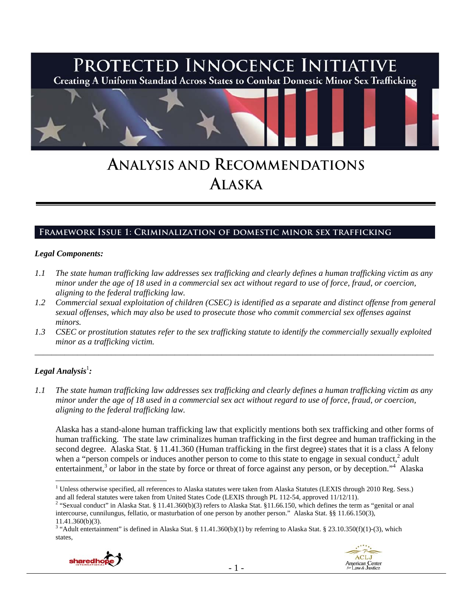

# **ANALYSIS AND RECOMMENDATIONS ALASKA**

## **Framework Issue 1: Criminalization of domestic minor sex trafficking**

#### *Legal Components:*

- *1.1 The state human trafficking law addresses sex trafficking and clearly defines a human trafficking victim as any minor under the age of 18 used in a commercial sex act without regard to use of force, fraud, or coercion, aligning to the federal trafficking law.*
- *1.2 Commercial sexual exploitation of children (CSEC) is identified as a separate and distinct offense from general sexual offenses, which may also be used to prosecute those who commit commercial sex offenses against minors.*
- *1.3 CSEC or prostitution statutes refer to the sex trafficking statute to identify the commercially sexually exploited minor as a trafficking victim.*

\_\_\_\_\_\_\_\_\_\_\_\_\_\_\_\_\_\_\_\_\_\_\_\_\_\_\_\_\_\_\_\_\_\_\_\_\_\_\_\_\_\_\_\_\_\_\_\_\_\_\_\_\_\_\_\_\_\_\_\_\_\_\_\_\_\_\_\_\_\_\_\_\_\_\_\_\_\_\_\_\_\_\_\_\_\_\_\_\_\_\_\_\_\_

## $\bm{L}$ egal Analysis $^1$ :

*1.1 The state human trafficking law addresses sex trafficking and clearly defines a human trafficking victim as any minor under the age of 18 used in a commercial sex act without regard to use of force, fraud, or coercion, aligning to the federal trafficking law.* 

Alaska has a stand-alone human trafficking law that explicitly mentions both sex trafficking and other forms of human trafficking. The state law criminalizes human trafficking in the first degree and human trafficking in the second degree. Alaska Stat. § 11.41.360 (Human trafficking in the first degree) states that it is a class A felony when a "person compels or induces another person to come to this state to engage in sexual conduct, $2$  adult entertainment,<sup>3</sup> or labor in the state by force or threat of force against any person, or by deception."<sup>4</sup> Alaska

<sup>&</sup>lt;sup>3</sup> "Adult entertainment" is defined in Alaska Stat. § 11.41.360(b)(1) by referring to Alaska Stat. § 23.10.350(f)(1)-(3), which states,





 1 Unless otherwise specified, all references to Alaska statutes were taken from Alaska Statutes (LEXIS through 2010 Reg. Sess.) and all federal statutes were taken from United States Code (LEXIS through PL 112-54, approved 11/12/11). 2

<sup>&</sup>lt;sup>2</sup> "Sexual conduct" in Alaska Stat. § 11.41.360(b)(3) refers to Alaska Stat. §11.66.150, which defines the term as "genital or anal intercourse, cunnilungus, fellatio, or masturbation of one person by another person." Alaska Stat. §§ 11.66.150(3), 11.41.360(b)(3).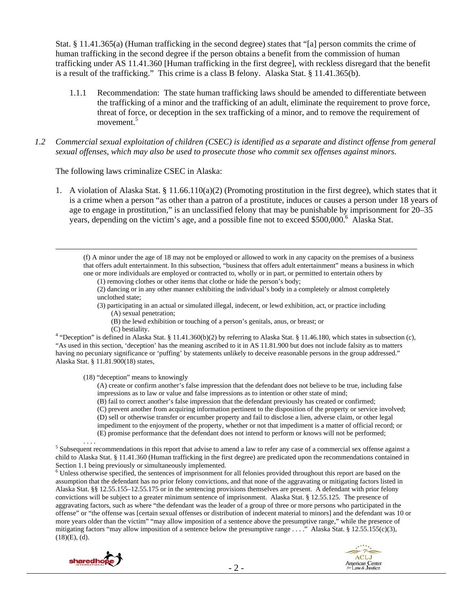Stat. § 11.41.365(a) (Human trafficking in the second degree) states that "[a] person commits the crime of human trafficking in the second degree if the person obtains a benefit from the commission of human trafficking under AS 11.41.360 [Human trafficking in the first degree], with reckless disregard that the benefit is a result of the trafficking." This crime is a class B felony. Alaska Stat. § 11.41.365(b).

- 1.1.1 Recommendation: The state human trafficking laws should be amended to differentiate between the trafficking of a minor and the trafficking of an adult, eliminate the requirement to prove force, threat of force, or deception in the sex trafficking of a minor, and to remove the requirement of movement.<sup>5</sup>
- *1.2 Commercial sexual exploitation of children (CSEC) is identified as a separate and distinct offense from general sexual offenses, which may also be used to prosecute those who commit sex offenses against minors.*

The following laws criminalize CSEC in Alaska:

1. A violation of Alaska Stat. § 11.66.110(a)(2) (Promoting prostitution in the first degree), which states that it is a crime when a person "as other than a patron of a prostitute, induces or causes a person under 18 years of age to engage in prostitution," is an unclassified felony that may be punishable by imprisonment for 20–35 years, depending on the victim's age, and a possible fine not to exceed \$500,000.<sup>6</sup> Alaska Stat.

 (f) A minor under the age of 18 may not be employed or allowed to work in any capacity on the premises of a business that offers adult entertainment. In this subsection, "business that offers adult entertainment" means a business in which one or more individuals are employed or contracted to, wholly or in part, or permitted to entertain others by

(1) removing clothes or other items that clothe or hide the person's body;

(2) dancing or in any other manner exhibiting the individual's body in a completely or almost completely unclothed state;

- (3) participating in an actual or simulated illegal, indecent, or lewd exhibition, act, or practice including (A) sexual penetration;
	- (B) the lewd exhibition or touching of a person's genitals, anus, or breast; or
	-

(C) bestiality. 4 "Deception" is defined in Alaska Stat. § 11.41.360(b)(2) by referring to Alaska Stat. § 11.46.180, which states in subsection (c), "As used in this section, 'deception' has the meaning ascribed to it in AS 11.81.900 but does not include falsity as to matters having no pecuniary significance or 'puffing' by statements unlikely to deceive reasonable persons in the group addressed." Alaska Stat. § 11.81.900(18) states,

(18) "deception" means to knowingly

(A) create or confirm another's false impression that the defendant does not believe to be true, including false impressions as to law or value and false impressions as to intention or other state of mind;

- (B) fail to correct another's false impression that the defendant previously has created or confirmed;
- (C) prevent another from acquiring information pertinent to the disposition of the property or service involved;

(D) sell or otherwise transfer or encumber property and fail to disclose a lien, adverse claim, or other legal

impediment to the enjoyment of the property, whether or not that impediment is a matter of official record; or

(E) promise performance that the defendant does not intend to perform or knows will not be performed;

Section 1.1 being previously or simultaneously implemented.<br><sup>6</sup> Unless otherwise specified, the sentences of imprisonment for all felonies provided throughout this report are based on the assumption that the defendant has no prior felony convictions, and that none of the aggravating or mitigating factors listed in Alaska Stat. §§ 12.55.155–12.55.175 or in the sentencing provisions themselves are present. A defendant with prior felony convictions will be subject to a greater minimum sentence of imprisonment. Alaska Stat. § 12.55.125. The presence of aggravating factors, such as where "the defendant was the leader of a group of three or more persons who participated in the offense" or "the offense was [certain sexual offenses or distribution of indecent material to minors] and the defendant was 10 or more years older than the victim" "may allow imposition of a sentence above the presumptive range," while the presence of mitigating factors "may allow imposition of a sentence below the presumptive range ...." Alaska Stat. § 12.55.155(c)(3),  $(18)(E)$ ,  $(d)$ .





 $\sim$  Subsequent recommendations in this report that advise to amend a law to refer any case of a commercial sex offense against a child to Alaska Stat. § 11.41.360 (Human trafficking in the first degree) are predicated upon the recommendations contained in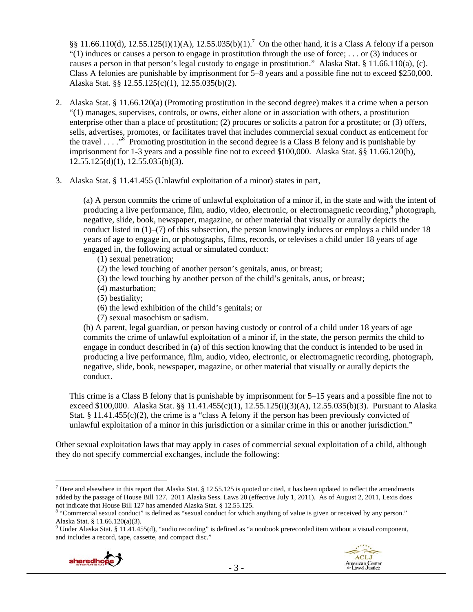$\S$ § 11.66.110(d), 12.55.125(i)(1)(A), 12.55.035(b)(1).<sup>7</sup> On the other hand, it is a Class A felony if a person "(1) induces or causes a person to engage in prostitution through the use of force; ... or (3) induces or causes a person in that person's legal custody to engage in prostitution." Alaska Stat. § 11.66.110(a), (c). Class A felonies are punishable by imprisonment for 5–8 years and a possible fine not to exceed \$250,000. Alaska Stat. §§ 12.55.125(c)(1), 12.55.035(b)(2).

- 2. Alaska Stat. § 11.66.120(a) (Promoting prostitution in the second degree) makes it a crime when a person "(1) manages, supervises, controls, or owns, either alone or in association with others, a prostitution enterprise other than a place of prostitution; (2) procures or solicits a patron for a prostitute; or (3) offers, sells, advertises, promotes, or facilitates travel that includes commercial sexual conduct as enticement for the travel  $\dots$ <sup>8</sup> Promoting prostitution in the second degree is a Class B felony and is punishable by imprisonment for 1-3 years and a possible fine not to exceed \$100,000. Alaska Stat. §§ 11.66.120(b),  $12.55.125(d)(1), 12.55.035(b)(3).$
- 3. Alaska Stat. § 11.41.455 (Unlawful exploitation of a minor) states in part,

(a) A person commits the crime of unlawful exploitation of a minor if, in the state and with the intent of producing a live performance, film, audio, video, electronic, or electromagnetic recording,<sup>9</sup> photograph, negative, slide, book, newspaper, magazine, or other material that visually or aurally depicts the conduct listed in (1)–(7) of this subsection, the person knowingly induces or employs a child under 18 years of age to engage in, or photographs, films, records, or televises a child under 18 years of age engaged in, the following actual or simulated conduct:

- (1) sexual penetration;
- (2) the lewd touching of another person's genitals, anus, or breast;
- (3) the lewd touching by another person of the child's genitals, anus, or breast;
- (4) masturbation;
- (5) bestiality;
- (6) the lewd exhibition of the child's genitals; or
- (7) sexual masochism or sadism.

(b) A parent, legal guardian, or person having custody or control of a child under 18 years of age commits the crime of unlawful exploitation of a minor if, in the state, the person permits the child to engage in conduct described in (a) of this section knowing that the conduct is intended to be used in producing a live performance, film, audio, video, electronic, or electromagnetic recording, photograph, negative, slide, book, newspaper, magazine, or other material that visually or aurally depicts the conduct.

This crime is a Class B felony that is punishable by imprisonment for 5–15 years and a possible fine not to exceed \$100,000. Alaska Stat. §§ 11.41.455(c)(1), 12.55.125(i)(3)(A), 12.55.035(b)(3). Pursuant to Alaska Stat. § 11.41.455(c)(2), the crime is a "class A felony if the person has been previously convicted of unlawful exploitation of a minor in this jurisdiction or a similar crime in this or another jurisdiction."

Other sexual exploitation laws that may apply in cases of commercial sexual exploitation of a child, although they do not specify commercial exchanges, include the following:

 $9$  Under Alaska Stat. § 11.41.455(d), "audio recording" is defined as "a nonbook prerecorded item without a visual component, and includes a record, tape, cassette, and compact disc."





<sup>&</sup>lt;sup>7</sup> Here and elsewhere in this report that Alaska Stat. § 12.55.125 is quoted or cited, it has been updated to reflect the amendments added by the passage of House Bill 127. 2011 Alaska Sess. Laws 20 (effective July 1, 2011). As of August 2, 2011, Lexis does not indicate that House Bill 127 has amended Alaska Stat. § 12.55.125.

<sup>&</sup>lt;sup>8</sup> "Commercial sexual conduct" is defined as "sexual conduct for which anything of value is given or received by any person." Alaska Stat. § 11.66.120(a)(3).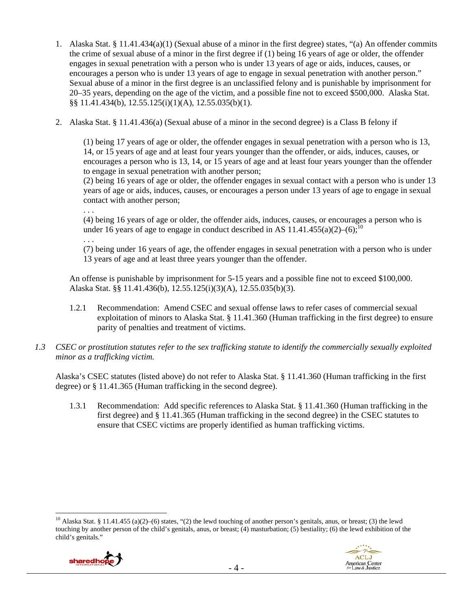- 1. Alaska Stat. § 11.41.434(a)(1) (Sexual abuse of a minor in the first degree) states, "(a) An offender commits the crime of sexual abuse of a minor in the first degree if (1) being 16 years of age or older, the offender engages in sexual penetration with a person who is under 13 years of age or aids, induces, causes, or encourages a person who is under 13 years of age to engage in sexual penetration with another person." Sexual abuse of a minor in the first degree is an unclassified felony and is punishable by imprisonment for 20–35 years, depending on the age of the victim, and a possible fine not to exceed \$500,000. Alaska Stat. §§ 11.41.434(b), 12.55.125(i)(1)(A), 12.55.035(b)(1).
- 2. Alaska Stat. § 11.41.436(a) (Sexual abuse of a minor in the second degree) is a Class B felony if

(1) being 17 years of age or older, the offender engages in sexual penetration with a person who is 13, 14, or 15 years of age and at least four years younger than the offender, or aids, induces, causes, or encourages a person who is 13, 14, or 15 years of age and at least four years younger than the offender to engage in sexual penetration with another person;

(2) being 16 years of age or older, the offender engages in sexual contact with a person who is under 13 years of age or aids, induces, causes, or encourages a person under 13 years of age to engage in sexual contact with another person;

. . .

. . .

(4) being 16 years of age or older, the offender aids, induces, causes, or encourages a person who is under 16 years of age to engage in conduct described in AS 11.41.455(a)(2)–(6);<sup>10</sup>

(7) being under 16 years of age, the offender engages in sexual penetration with a person who is under 13 years of age and at least three years younger than the offender.

An offense is punishable by imprisonment for 5-15 years and a possible fine not to exceed \$100,000. Alaska Stat. §§ 11.41.436(b), 12.55.125(i)(3)(A), 12.55.035(b)(3).

- 1.2.1 Recommendation: Amend CSEC and sexual offense laws to refer cases of commercial sexual exploitation of minors to Alaska Stat. § 11.41.360 (Human trafficking in the first degree) to ensure parity of penalties and treatment of victims.
- *1.3 CSEC or prostitution statutes refer to the sex trafficking statute to identify the commercially sexually exploited minor as a trafficking victim.*

Alaska's CSEC statutes (listed above) do not refer to Alaska Stat. § 11.41.360 (Human trafficking in the first degree) or § 11.41.365 (Human trafficking in the second degree).

1.3.1 Recommendation: Add specific references to Alaska Stat. § 11.41.360 (Human trafficking in the first degree) and § 11.41.365 (Human trafficking in the second degree) in the CSEC statutes to ensure that CSEC victims are properly identified as human trafficking victims.

<sup>&</sup>lt;sup>10</sup> Alaska Stat. § 11.41.455 (a)(2)–(6) states, "(2) the lewd touching of another person's genitals, anus, or breast; (3) the lewd touching by another person of the child's genitals, anus, or breast; (4) masturbation; (5) bestiality; (6) the lewd exhibition of the child's genitals."



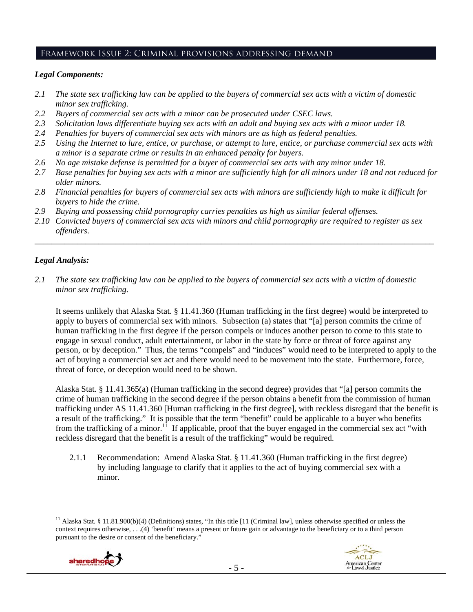## Framework Issue 2: Criminal provisions addressing demand

## *Legal Components:*

- *2.1 The state sex trafficking law can be applied to the buyers of commercial sex acts with a victim of domestic minor sex trafficking.*
- *2.2 Buyers of commercial sex acts with a minor can be prosecuted under CSEC laws.*
- *2.3 Solicitation laws differentiate buying sex acts with an adult and buying sex acts with a minor under 18.*
- *2.4 Penalties for buyers of commercial sex acts with minors are as high as federal penalties.*
- *2.5 Using the Internet to lure, entice, or purchase, or attempt to lure, entice, or purchase commercial sex acts with a minor is a separate crime or results in an enhanced penalty for buyers.*
- *2.6 No age mistake defense is permitted for a buyer of commercial sex acts with any minor under 18.*
- *2.7 Base penalties for buying sex acts with a minor are sufficiently high for all minors under 18 and not reduced for older minors.*
- *2.8 Financial penalties for buyers of commercial sex acts with minors are sufficiently high to make it difficult for buyers to hide the crime.*
- *2.9 Buying and possessing child pornography carries penalties as high as similar federal offenses.*
- *2.10 Convicted buyers of commercial sex acts with minors and child pornography are required to register as sex offenders*.

\_\_\_\_\_\_\_\_\_\_\_\_\_\_\_\_\_\_\_\_\_\_\_\_\_\_\_\_\_\_\_\_\_\_\_\_\_\_\_\_\_\_\_\_\_\_\_\_\_\_\_\_\_\_\_\_\_\_\_\_\_\_\_\_\_\_\_\_\_\_\_\_\_\_\_\_\_\_\_\_\_\_\_\_\_\_\_\_\_\_\_\_\_\_

#### *Legal Analysis:*

*2.1 The state sex trafficking law can be applied to the buyers of commercial sex acts with a victim of domestic minor sex trafficking.* 

It seems unlikely that Alaska Stat. § 11.41.360 (Human trafficking in the first degree) would be interpreted to apply to buyers of commercial sex with minors. Subsection (a) states that "[a] person commits the crime of human trafficking in the first degree if the person compels or induces another person to come to this state to engage in sexual conduct, adult entertainment, or labor in the state by force or threat of force against any person, or by deception." Thus, the terms "compels" and "induces" would need to be interpreted to apply to the act of buying a commercial sex act and there would need to be movement into the state. Furthermore, force, threat of force, or deception would need to be shown.

Alaska Stat. § 11.41.365(a) (Human trafficking in the second degree) provides that "[a] person commits the crime of human trafficking in the second degree if the person obtains a benefit from the commission of human trafficking under AS 11.41.360 [Human trafficking in the first degree], with reckless disregard that the benefit is a result of the trafficking." It is possible that the term "benefit" could be applicable to a buyer who benefits from the trafficking of a minor.<sup>11</sup> If applicable, proof that the buyer engaged in the commercial sex act "with reckless disregard that the benefit is a result of the trafficking" would be required.

2.1.1 Recommendation: Amend Alaska Stat. § 11.41.360 (Human trafficking in the first degree) by including language to clarify that it applies to the act of buying commercial sex with a minor.

 $\overline{a}$ <sup>11</sup> Alaska Stat. § 11.81.900(b)(4) (Definitions) states, "In this title [11 (Criminal law], unless otherwise specified or unless the context requires otherwise, . . .(4) 'benefit' means a present or future gain or advantage to the beneficiary or to a third person pursuant to the desire or consent of the beneficiary."



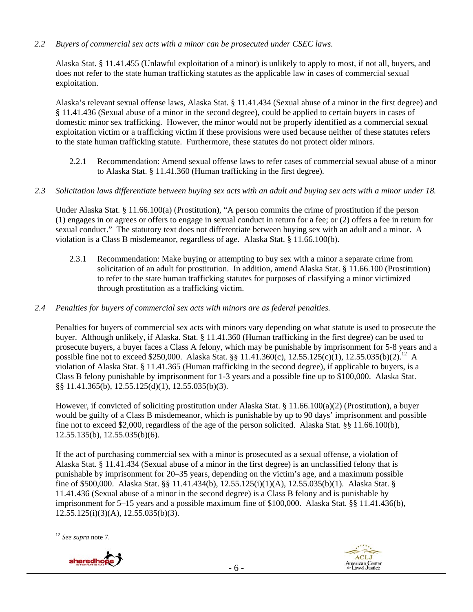*2.2 Buyers of commercial sex acts with a minor can be prosecuted under CSEC laws.* 

Alaska Stat. § 11.41.455 (Unlawful exploitation of a minor) is unlikely to apply to most, if not all, buyers, and does not refer to the state human trafficking statutes as the applicable law in cases of commercial sexual exploitation.

Alaska's relevant sexual offense laws, Alaska Stat. § 11.41.434 (Sexual abuse of a minor in the first degree) and § 11.41.436 (Sexual abuse of a minor in the second degree), could be applied to certain buyers in cases of domestic minor sex trafficking. However, the minor would not be properly identified as a commercial sexual exploitation victim or a trafficking victim if these provisions were used because neither of these statutes refers to the state human trafficking statute. Furthermore, these statutes do not protect older minors.

- 2.2.1 Recommendation: Amend sexual offense laws to refer cases of commercial sexual abuse of a minor to Alaska Stat. § 11.41.360 (Human trafficking in the first degree).
- *2.3 Solicitation laws differentiate between buying sex acts with an adult and buying sex acts with a minor under 18.*

Under Alaska Stat. § 11.66.100(a) (Prostitution), "A person commits the crime of prostitution if the person (1) engages in or agrees or offers to engage in sexual conduct in return for a fee; or (2) offers a fee in return for sexual conduct." The statutory text does not differentiate between buying sex with an adult and a minor. A violation is a Class B misdemeanor, regardless of age. Alaska Stat. § 11.66.100(b).

- 2.3.1 Recommendation: Make buying or attempting to buy sex with a minor a separate crime from solicitation of an adult for prostitution. In addition, amend Alaska Stat. § 11.66.100 (Prostitution) to refer to the state human trafficking statutes for purposes of classifying a minor victimized through prostitution as a trafficking victim.
- *2.4 Penalties for buyers of commercial sex acts with minors are as federal penalties.*

Penalties for buyers of commercial sex acts with minors vary depending on what statute is used to prosecute the buyer. Although unlikely, if Alaska. Stat. § 11.41.360 (Human trafficking in the first degree) can be used to prosecute buyers, a buyer faces a Class A felony, which may be punishable by imprisonment for 5-8 years and a possible fine not to exceed \$250,000. Alaska Stat. §§ 11.41.360(c), 12.55.125(c)(1), 12.55.035(b)(2).<sup>12</sup> A violation of Alaska Stat. § 11.41.365 (Human trafficking in the second degree), if applicable to buyers, is a Class B felony punishable by imprisonment for 1-3 years and a possible fine up to \$100,000. Alaska Stat. §§ 11.41.365(b), 12.55.125(d)(1), 12.55.035(b)(3).

However, if convicted of soliciting prostitution under Alaska Stat. § 11.66.100(a)(2) (Prostitution), a buyer would be guilty of a Class B misdemeanor, which is punishable by up to 90 days' imprisonment and possible fine not to exceed \$2,000, regardless of the age of the person solicited. Alaska Stat. §§ 11.66.100(b), 12.55.135(b), 12.55.035(b)(6).

If the act of purchasing commercial sex with a minor is prosecuted as a sexual offense, a violation of Alaska Stat. § 11.41.434 (Sexual abuse of a minor in the first degree) is an unclassified felony that is punishable by imprisonment for 20–35 years, depending on the victim's age, and a maximum possible fine of \$500,000. Alaska Stat. §§ 11.41.434(b), 12.55.125(i)(1)(A), 12.55.035(b)(1). Alaska Stat. § 11.41.436 (Sexual abuse of a minor in the second degree) is a Class B felony and is punishable by imprisonment for 5–15 years and a possible maximum fine of \$100,000. Alaska Stat. §§ 11.41.436(b),  $12.55.125(i)(3)(A)$ ,  $12.55.035(b)(3)$ .

 $\overline{a}$ <sup>12</sup> *See supra* note 7.



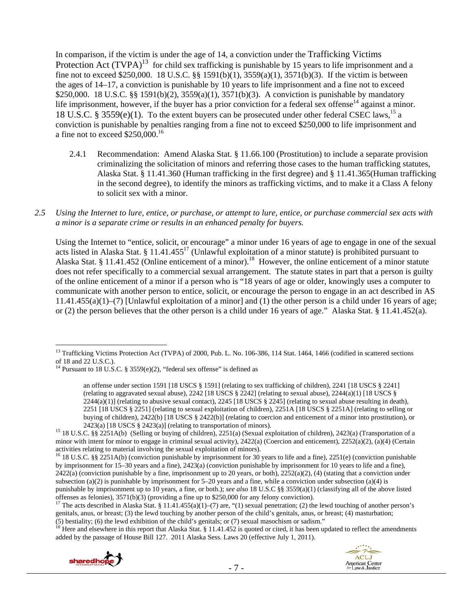In comparison, if the victim is under the age of 14, a conviction under the Trafficking Victims Protection Act  $(TVPA)^{13}$  for child sex trafficking is punishable by 15 years to life imprisonment and a fine not to exceed \$250,000. 18 U.S.C. §§ 1591(b)(1), 3559(a)(1), 3571(b)(3). If the victim is between the ages of 14–17, a conviction is punishable by 10 years to life imprisonment and a fine not to exceed \$250,000. 18 U.S.C. §§ 1591(b)(2), 3559(a)(1), 3571(b)(3). A conviction is punishable by mandatory life imprisonment, however, if the buyer has a prior conviction for a federal sex offense $14$  against a minor. 18 U.S.C. § 3559(e)(1). To the extent buyers can be prosecuted under other federal CSEC laws,<sup>15</sup> a conviction is punishable by penalties ranging from a fine not to exceed \$250,000 to life imprisonment and a fine not to exceed \$250,000.16

- 2.4.1 Recommendation: Amend Alaska Stat. § 11.66.100 (Prostitution) to include a separate provision criminalizing the solicitation of minors and referring those cases to the human trafficking statutes, Alaska Stat. § 11.41.360 (Human trafficking in the first degree) and § 11.41.365(Human trafficking in the second degree), to identify the minors as trafficking victims, and to make it a Class A felony to solicit sex with a minor.
- *2.5 Using the Internet to lure, entice, or purchase, or attempt to lure, entice, or purchase commercial sex acts with a minor is a separate crime or results in an enhanced penalty for buyers.*

Using the Internet to "entice, solicit, or encourage" a minor under 16 years of age to engage in one of the sexual acts listed in Alaska Stat. § 11.41.455<sup>17</sup> (Unlawful exploitation of a minor statute) is prohibited pursuant to Alaska Stat. § 11.41.452 (Online enticement of a minor).<sup>18</sup> However, the online enticement of a minor statute does not refer specifically to a commercial sexual arrangement. The statute states in part that a person is guilty of the online enticement of a minor if a person who is "18 years of age or older, knowingly uses a computer to communicate with another person to entice, solicit, or encourage the person to engage in an act described in AS  $11.41.455(a)(1)$ –(7) [Unlawful exploitation of a minor] and (1) the other person is a child under 16 years of age; or (2) the person believes that the other person is a child under 16 years of age." Alaska Stat. § 11.41.452(a).

<sup>&</sup>lt;sup>18</sup> Here and elsewhere in this report that Alaska Stat. § 11.41.452 is quoted or cited, it has been updated to reflect the amendments added by the passage of House Bill 127. 2011 Alaska Sess. Laws 20 (effective July 1, 2011).





<sup>&</sup>lt;sup>13</sup> Trafficking Victims Protection Act (TVPA) of 2000, Pub. L. No. 106-386, 114 Stat. 1464, 1466 (codified in scattered sections of 18 and 22 U.S.C.).

<sup>&</sup>lt;sup>14</sup> Pursuant to 18 U.S.C. § 3559(e)(2), "federal sex offense" is defined as

an offense under section 1591 [18 USCS § 1591] (relating to sex trafficking of children), 2241 [18 USCS § 2241] (relating to aggravated sexual abuse),  $2242$  [18 USCS § 2242] (relating to sexual abuse),  $2244(a)(1)$  [18 USCS §  $2244(a)(1)$ ] (relating to abusive sexual contact),  $2245$  [18 USCS § 2245] (relating to sexual abuse resulting in death), 2251 [18 USCS § 2251] (relating to sexual exploitation of children), 2251A [18 USCS § 2251A] (relating to selling or buying of children), 2422(b) [18 USCS § 2422(b)] (relating to coercion and enticement of a minor into prostitution), or 2423(a) [18 USCS § 2423(a)] (relating to transportation of minors).

<sup>&</sup>lt;sup>15</sup> 18 U.S.C. §§ 2251A(b) (Selling or buying of children), 2251(a) (Sexual exploitation of children), 2423(a) (Transportation of a minor with intent for minor to engage in criminal sexual activity), 2422(a) (Coercion and enticement), 2252(a)(2), (a)(4) (Certain activities relating to material involving the sexual exploitation of minors).

<sup>&</sup>lt;sup>16</sup> 18 U.S.C. §§ 2251A(b) (conviction punishable by imprisonment for 30 years to life and a fine), 2251(e) (conviction punishable by imprisonment for 15–30 years and a fine), 2423(a) (conviction punishable by imprisonment for 10 years to life and a fine),  $2422(a)$  (conviction punishable by a fine, imprisonment up to 20 years, or both),  $2252(a)(2)$ , (4) (stating that a conviction under subsection (a)(2) is punishable by imprisonment for  $5-20$  years and a fine, while a conviction under subsection (a)(4) is punishable by imprisonment up to 10 years, a fine, or both.); *see also* 18 U.S.C §§ 3559(a)(1) (classifying all of the above listed offenses as felonies), 3571(b)(3) (providing a fine up to \$250,000 for any felony convict

<sup>&</sup>lt;sup>17</sup> The acts described in Alaska Stat. § 11.41.455(a)(1)–(7) are, "(1) sexual penetration; (2) the lewd touching of another person's genitals, anus, or breast; (3) the lewd touching by another person of the child's genitals, anus, or breast; (4) masturbation; (5) bestiality; (6) the lewd exhibition of the child's genitals; or (7) sexual masochism or sad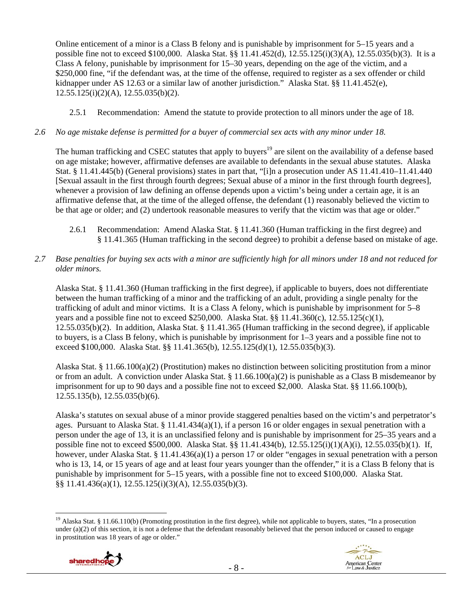Online enticement of a minor is a Class B felony and is punishable by imprisonment for 5–15 years and a possible fine not to exceed \$100,000. Alaska Stat. §§ 11.41.452(d), 12.55.125(i)(3)(A), 12.55.035(b)(3). It is a Class A felony, punishable by imprisonment for 15–30 years, depending on the age of the victim, and a \$250,000 fine, "if the defendant was, at the time of the offense, required to register as a sex offender or child kidnapper under AS 12.63 or a similar law of another jurisdiction." Alaska Stat. §§ 11.41.452(e), 12.55.125(i)(2)(A), 12.55.035(b)(2).

2.5.1 Recommendation: Amend the statute to provide protection to all minors under the age of 18.

#### *2.6 No age mistake defense is permitted for a buyer of commercial sex acts with any minor under 18.*

The human trafficking and CSEC statutes that apply to buyers<sup>19</sup> are silent on the availability of a defense based on age mistake; however, affirmative defenses are available to defendants in the sexual abuse statutes. Alaska Stat. § 11.41.445(b) (General provisions) states in part that, "[i]n a prosecution under AS 11.41.410–11.41.440 [Sexual assault in the first through fourth degrees; Sexual abuse of a minor in the first through fourth degrees], whenever a provision of law defining an offense depends upon a victim's being under a certain age, it is an affirmative defense that, at the time of the alleged offense, the defendant (1) reasonably believed the victim to be that age or older; and (2) undertook reasonable measures to verify that the victim was that age or older."

2.6.1 Recommendation: Amend Alaska Stat. § 11.41.360 (Human trafficking in the first degree) and § 11.41.365 (Human trafficking in the second degree) to prohibit a defense based on mistake of age.

#### *2.7 Base penalties for buying sex acts with a minor are sufficiently high for all minors under 18 and not reduced for older minors.*

Alaska Stat. § 11.41.360 (Human trafficking in the first degree), if applicable to buyers, does not differentiate between the human trafficking of a minor and the trafficking of an adult, providing a single penalty for the trafficking of adult and minor victims. It is a Class A felony, which is punishable by imprisonment for 5–8 years and a possible fine not to exceed \$250,000. Alaska Stat. §§ 11.41.360(c), 12.55.125(c)(1), 12.55.035(b)(2). In addition, Alaska Stat. § 11.41.365 (Human trafficking in the second degree), if applicable to buyers, is a Class B felony, which is punishable by imprisonment for 1–3 years and a possible fine not to exceed \$100,000. Alaska Stat. §§ 11.41.365(b), 12.55.125(d)(1), 12.55.035(b)(3).

Alaska Stat. § 11.66.100(a)(2) (Prostitution) makes no distinction between soliciting prostitution from a minor or from an adult. A conviction under Alaska Stat. § 11.66.100(a)(2) is punishable as a Class B misdemeanor by imprisonment for up to 90 days and a possible fine not to exceed \$2,000. Alaska Stat. §§ 11.66.100(b), 12.55.135(b), 12.55.035(b)(6).

Alaska's statutes on sexual abuse of a minor provide staggered penalties based on the victim's and perpetrator's ages. Pursuant to Alaska Stat. § 11.41.434(a)(1), if a person 16 or older engages in sexual penetration with a person under the age of 13, it is an unclassified felony and is punishable by imprisonment for 25–35 years and a possible fine not to exceed \$500,000. Alaska Stat. §§ 11.41.434(b), 12.55.125(i)(1)(A)(i), 12.55.035(b)(1). If, however, under Alaska Stat. § 11.41.436(a)(1) a person 17 or older "engages in sexual penetration with a person who is 13, 14, or 15 years of age and at least four years younger than the offender," it is a Class B felony that is punishable by imprisonment for 5–15 years, with a possible fine not to exceed \$100,000. Alaska Stat. §§ 11.41.436(a)(1), 12.55.125(i)(3)(A), 12.55.035(b)(3).

 $\overline{a}$ <sup>19</sup> Alaska Stat. § 11.66.110(b) (Promoting prostitution in the first degree), while not applicable to buyers, states, "In a prosecution under  $(a)(2)$  of this section, it is not a defense that the defendant reasonably believed that the person induced or caused to engage in prostitution was 18 years of age or older."



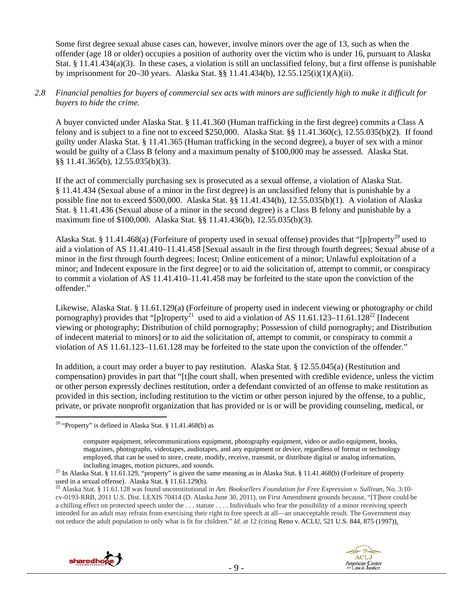Some first degree sexual abuse cases can, however, involve minors over the age of 13, such as when the offender (age 18 or older) occupies a position of authority over the victim who is under 16, pursuant to Alaska Stat. § 11.41.434(a)(3). In these cases, a violation is still an unclassified felony, but a first offense is punishable by imprisonment for 20–30 years. Alaska Stat. §§ 11.41.434(b), 12.55.125(i)(1)(A)(ii).

#### *2.8 Financial penalties for buyers of commercial sex acts with minors are sufficiently high to make it difficult for buyers to hide the crime.*

A buyer convicted under Alaska Stat. § 11.41.360 (Human trafficking in the first degree) commits a Class A felony and is subject to a fine not to exceed \$250,000. Alaska Stat. §§ 11.41.360(c), 12.55.035(b)(2). If found guilty under Alaska Stat. § 11.41.365 (Human trafficking in the second degree), a buyer of sex with a minor would be guilty of a Class B felony and a maximum penalty of \$100,000 may be assessed. Alaska Stat. §§ 11.41.365(b), 12.55.035(b)(3).

If the act of commercially purchasing sex is prosecuted as a sexual offense, a violation of Alaska Stat. § 11.41.434 (Sexual abuse of a minor in the first degree) is an unclassified felony that is punishable by a possible fine not to exceed \$500,000. Alaska Stat. §§ 11.41.434(b), 12.55.035(b)(1). A violation of Alaska Stat. § 11.41.436 (Sexual abuse of a minor in the second degree) is a Class B felony and punishable by a maximum fine of \$100,000. Alaska Stat. §§ 11.41.436(b), 12.55.035(b)(3).

Alaska Stat. § 11.41.468(a) (Forfeiture of property used in sexual offense) provides that "[p]roperty<sup>20</sup> used to aid a violation of AS 11.41.410–11.41.458 [Sexual assault in the first through fourth degrees; Sexual abuse of a minor in the first through fourth degrees; Incest; Online enticement of a minor; Unlawful exploitation of a minor; and Indecent exposure in the first degree] or to aid the solicitation of, attempt to commit, or conspiracy to commit a violation of AS 11.41.410–11.41.458 may be forfeited to the state upon the conviction of the offender."

Likewise, Alaska Stat. § 11.61.129(a) (Forfeiture of property used in indecent viewing or photography or child pornography) provides that "[p]roperty<sup>21</sup> used to aid a violation of AS 11.61.123–11.61.128<sup>22</sup> [Indecent] viewing or photography; Distribution of child pornography; Possession of child pornography; and Distribution of indecent material to minors] or to aid the solicitation of, attempt to commit, or conspiracy to commit a violation of AS 11.61.123–11.61.128 may be forfeited to the state upon the conviction of the offender."

In addition, a court may order a buyer to pay restitution. Alaska Stat. § 12.55.045(a) (Restitution and compensation) provides in part that "[t]he court shall, when presented with credible evidence, unless the victim or other person expressly declines restitution, order a defendant convicted of an offense to make restitution as provided in this section, including restitution to the victim or other person injured by the offense, to a public, private, or private nonprofit organization that has provided or is or will be providing counseling, medical, or

used in a sexual offense). Alaska Stat. § 11.61.129(b).<br><sup>22</sup> Alaska Stat. § 11.61.128 was found unconstitutional in *Am. Booksellers Foundation for Free Expression v. Sullivan*, No. 3:10cv-0193-RRB, 2011 U.S. Dist. LEXIS 70414 (D. Alaska June 30, 2011), on First Amendment grounds because, "[T]here could be a chilling effect on protected speech under the . . . statute . . . . Individuals who fear the possibility of a minor receiving speech intended for an adult may refrain from exercising their right to free speech at all—an unacceptable result. The Government may not reduce the adult population to only what is fit for children." *Id.* at 12 (citing Reno v. ACLU, 521 U.S. 844, 875 (1997)).





<sup>&</sup>lt;sup>20</sup> "Property" is defined in Alaska Stat. § 11.41.468(b) as

computer equipment, telecommunications equipment, photography equipment, video or audio equipment, books, magazines, photographs, videotapes, audiotapes, and any equipment or device, regardless of format or technology employed, that can be used to store, create, modify, receive, transmit, or distribute digital or analog information,

including images, motion pictures, and sounds.<br><sup>21</sup> In Alaska Stat. § 11.41.468(b) (Forfeiture of property<sup>21</sup> In Alaska Stat. § 11.41.468(b) (Forfeiture of property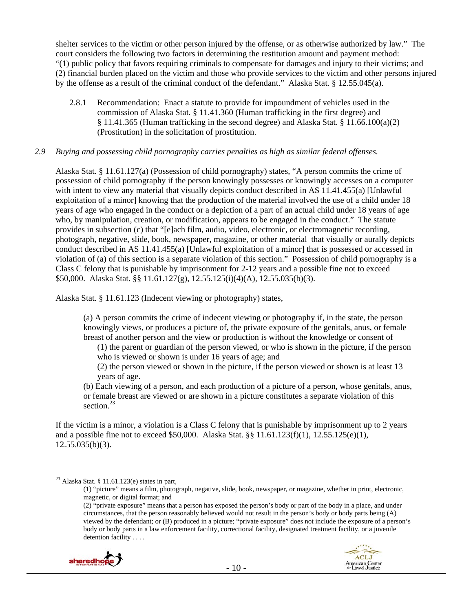shelter services to the victim or other person injured by the offense, or as otherwise authorized by law." The court considers the following two factors in determining the restitution amount and payment method: "(1) public policy that favors requiring criminals to compensate for damages and injury to their victims; and (2) financial burden placed on the victim and those who provide services to the victim and other persons injured by the offense as a result of the criminal conduct of the defendant." Alaska Stat. § 12.55.045(a).

2.8.1 Recommendation: Enact a statute to provide for impoundment of vehicles used in the commission of Alaska Stat. § 11.41.360 (Human trafficking in the first degree) and § 11.41.365 (Human trafficking in the second degree) and Alaska Stat. § 11.66.100(a)(2) (Prostitution) in the solicitation of prostitution.

#### *2.9 Buying and possessing child pornography carries penalties as high as similar federal offenses.*

Alaska Stat. § 11.61.127(a) (Possession of child pornography) states, "A person commits the crime of possession of child pornography if the person knowingly possesses or knowingly accesses on a computer with intent to view any material that visually depicts conduct described in AS 11.41.455(a) [Unlawful exploitation of a minor] knowing that the production of the material involved the use of a child under 18 years of age who engaged in the conduct or a depiction of a part of an actual child under 18 years of age who, by manipulation, creation, or modification, appears to be engaged in the conduct." The statute provides in subsection (c) that "[e]ach film, audio, video, electronic, or electromagnetic recording, photograph, negative, slide, book, newspaper, magazine, or other material that visually or aurally depicts conduct described in AS 11.41.455(a) [Unlawful exploitation of a minor] that is possessed or accessed in violation of (a) of this section is a separate violation of this section." Possession of child pornography is a Class C felony that is punishable by imprisonment for 2-12 years and a possible fine not to exceed \$50,000. Alaska Stat. §§ 11.61.127(g), 12.55.125(i)(4)(A), 12.55.035(b)(3).

Alaska Stat. § 11.61.123 (Indecent viewing or photography) states,

(a) A person commits the crime of indecent viewing or photography if, in the state, the person knowingly views, or produces a picture of, the private exposure of the genitals, anus, or female breast of another person and the view or production is without the knowledge or consent of

(1) the parent or guardian of the person viewed, or who is shown in the picture, if the person who is viewed or shown is under 16 years of age; and

(2) the person viewed or shown in the picture, if the person viewed or shown is at least 13 years of age.

(b) Each viewing of a person, and each production of a picture of a person, whose genitals, anus, or female breast are viewed or are shown in a picture constitutes a separate violation of this section.<sup>23</sup>

If the victim is a minor, a violation is a Class C felony that is punishable by imprisonment up to 2 years and a possible fine not to exceed \$50,000. Alaska Stat. §§ 11.61.123(f)(1), 12.55.125(e)(1),  $12.55.035(b)(3)$ .

<sup>(2) &</sup>quot;private exposure" means that a person has exposed the person's body or part of the body in a place, and under circumstances, that the person reasonably believed would not result in the person's body or body parts being (A) viewed by the defendant; or (B) produced in a picture; "private exposure" does not include the exposure of a person's body or body parts in a law enforcement facility, correctional facility, designated treatment facility, or a juvenile detention facility . . . .



 $\overline{a}$ <sup>23</sup> Alaska Stat. § 11.61.123 $(e)$  states in part,

<sup>(1) &</sup>quot;picture" means a film, photograph, negative, slide, book, newspaper, or magazine, whether in print, electronic, magnetic, or digital format; and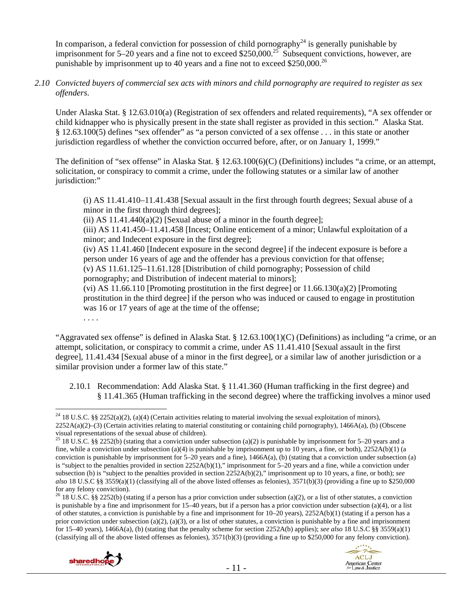In comparison, a federal conviction for possession of child pornography<sup>24</sup> is generally punishable by imprisonment for 5–20 years and a fine not to exceed \$250,000.<sup>25</sup> Subsequent convictions, however, are punishable by imprisonment up to 40 years and a fine not to exceed  $$250,000.<sup>26</sup>$ 

#### *2.10 Convicted buyers of commercial sex acts with minors and child pornography are required to register as sex offenders*.

Under Alaska Stat. § 12.63.010(a) (Registration of sex offenders and related requirements), "A sex offender or child kidnapper who is physically present in the state shall register as provided in this section." Alaska Stat. § 12.63.100(5) defines "sex offender" as "a person convicted of a sex offense . . . in this state or another jurisdiction regardless of whether the conviction occurred before, after, or on January 1, 1999."

The definition of "sex offense" in Alaska Stat. § 12.63.100(6)(C) (Definitions) includes "a crime, or an attempt, solicitation, or conspiracy to commit a crime, under the following statutes or a similar law of another jurisdiction:"

(i) AS 11.41.410–11.41.438 [Sexual assault in the first through fourth degrees; Sexual abuse of a minor in the first through third degrees];

(ii) AS  $11.41.440(a)(2)$  [Sexual abuse of a minor in the fourth degree];

(iii) AS 11.41.450–11.41.458 [Incest; Online enticement of a minor; Unlawful exploitation of a minor; and Indecent exposure in the first degree];

(iv) AS 11.41.460 [Indecent exposure in the second degree] if the indecent exposure is before a person under 16 years of age and the offender has a previous conviction for that offense; (v) AS 11.61.125–11.61.128 [Distribution of child pornography; Possession of child pornography; and Distribution of indecent material to minors];

(vi) AS 11.66.110 [Promoting prostitution in the first degree] or  $11.66.130(a)(2)$  [Promoting prostitution in the third degree] if the person who was induced or caused to engage in prostitution was 16 or 17 years of age at the time of the offense;

. . . .

"Aggravated sex offense" is defined in Alaska Stat. §  $12.63.100(1)(C)$  (Definitions) as including "a crime, or an attempt, solicitation, or conspiracy to commit a crime, under AS 11.41.410 [Sexual assault in the first degree], 11.41.434 [Sexual abuse of a minor in the first degree], or a similar law of another jurisdiction or a similar provision under a former law of this state."

2.10.1 Recommendation: Add Alaska Stat. § 11.41.360 (Human trafficking in the first degree) and § 11.41.365 (Human trafficking in the second degree) where the trafficking involves a minor used

<sup>&</sup>lt;sup>26</sup> 18 U.S.C. §§ 2252(b) (stating if a person has a prior conviction under subsection (a)(2), or a list of other statutes, a conviction is punishable by a fine and imprisonment for 15–40 years, but if a person has a prior conviction under subsection (a)(4), or a list of other statutes, a conviction is punishable by a fine and imprisonment for 10–20 years), 2252A(b)(1) (stating if a person has a prior conviction under subsection (a)(2), (a)(3), or a list of other statutes, a conviction is punishable by a fine and imprisonment for 15–40 years), 1466A(a), (b) (stating that the penalty scheme for section 2252A(b) applies); *see also* 18 U.S.C §§ 3559(a)(1) (classifying all of the above listed offenses as felonies),  $3571(b)(3)$  (providing a fine up to \$250,000 for any felony conviction).



 $\overline{a}$ <sup>24</sup> 18 U.S.C. §§ 2252(a)(2), (a)(4) (Certain activities relating to material involving the sexual exploitation of minors), 2252A(a)(2)–(3) (Certain activities relating to material constituting or containing child pornography), 1466A(a), (b) (Obscene visual representations of the sexual abuse of children).

<sup>&</sup>lt;sup>25</sup> 18 U.S.C. §§ 2252(b) (stating that a conviction under subsection (a)(2) is punishable by imprisonment for 5–20 years and a fine, while a conviction under subsection (a)(4) is punishable by imprisonment up to 10 years, a fine, or both),  $2252A(b)(1)$  (a conviction is punishable by imprisonment for  $5-20$  years and a fine),  $1466A(a)$ , (b) (stating that a conviction under subsection (a) is "subject to the penalties provided in section 2252A(b)(1)," imprisonment for 5–20 years and a fine, while a conviction under subsection (b) is "subject to the penalties provided in section 2252A(b)(2)," imprisonment up to 10 years, a fine, or both); *see also* 18 U.S.C §§ 3559(a)(1) (classifying all of the above listed offenses as felonies), 3571(b)(3) (providing a fine up to \$250,000 for any felony conviction).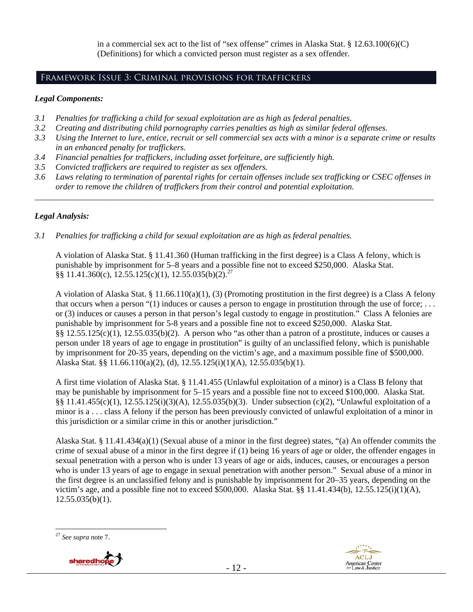in a commercial sex act to the list of "sex offense" crimes in Alaska Stat. § 12.63.100(6)(C) (Definitions) for which a convicted person must register as a sex offender.

# Framework Issue 3: Criminal provisions for traffickers

#### *Legal Components:*

- *3.1 Penalties for trafficking a child for sexual exploitation are as high as federal penalties.*
- *3.2 Creating and distributing child pornography carries penalties as high as similar federal offenses*.
- *3.3 Using the Internet to lure, entice, recruit or sell commercial sex acts with a minor is a separate crime or results in an enhanced penalty for traffickers.*
- *3.4 Financial penalties for traffickers, including asset forfeiture, are sufficiently high.*
- *3.5 Convicted traffickers are required to register as sex offenders.*
- *3.6 Laws relating to termination of parental rights for certain offenses include sex trafficking or CSEC offenses in order to remove the children of traffickers from their control and potential exploitation. \_\_\_\_\_\_\_\_\_\_\_\_\_\_\_\_\_\_\_\_\_\_\_\_\_\_\_\_\_\_\_\_\_\_\_\_\_\_\_\_\_\_\_\_\_\_\_\_\_\_\_\_\_\_\_\_\_\_\_\_\_\_\_\_\_\_\_\_\_\_\_\_\_\_\_\_\_\_\_\_\_\_\_\_\_\_\_\_\_\_\_\_\_\_*

## *Legal Analysis:*

*3.1 Penalties for trafficking a child for sexual exploitation are as high as federal penalties.* 

A violation of Alaska Stat. § 11.41.360 (Human trafficking in the first degree) is a Class A felony, which is punishable by imprisonment for 5–8 years and a possible fine not to exceed \$250,000. Alaska Stat.  $\S$ § 11.41.360(c), 12.55.125(c)(1), 12.55.035(b)(2).<sup>27</sup>

A violation of Alaska Stat. § 11.66.110(a)(1), (3) (Promoting prostitution in the first degree) is a Class A felony that occurs when a person "(1) induces or causes a person to engage in prostitution through the use of force;  $\dots$ or (3) induces or causes a person in that person's legal custody to engage in prostitution." Class A felonies are punishable by imprisonment for 5-8 years and a possible fine not to exceed \$250,000. Alaska Stat. §§  $12.55.125(c)(1)$ ,  $12.55.035(b)(2)$ . A person who "as other than a patron of a prostitute, induces or causes a person under 18 years of age to engage in prostitution" is guilty of an unclassified felony, which is punishable by imprisonment for 20-35 years, depending on the victim's age, and a maximum possible fine of \$500,000. Alaska Stat. §§ 11.66.110(a)(2), (d), 12.55.125(i)(1)(A), 12.55.035(b)(1).

A first time violation of Alaska Stat. § 11.41.455 (Unlawful exploitation of a minor) is a Class B felony that may be punishable by imprisonment for 5–15 years and a possible fine not to exceed \$100,000. Alaska Stat. §§ 11.41.455(c)(1), 12.55.125(i)(3)(A), 12.55.035(b)(3). Under subsection (c)(2), "Unlawful exploitation of a minor is a . . . class A felony if the person has been previously convicted of unlawful exploitation of a minor in this jurisdiction or a similar crime in this or another jurisdiction."

Alaska Stat. § 11.41.434(a)(1) (Sexual abuse of a minor in the first degree) states, "(a) An offender commits the crime of sexual abuse of a minor in the first degree if (1) being 16 years of age or older, the offender engages in sexual penetration with a person who is under 13 years of age or aids, induces, causes, or encourages a person who is under 13 years of age to engage in sexual penetration with another person." Sexual abuse of a minor in the first degree is an unclassified felony and is punishable by imprisonment for 20–35 years, depending on the victim's age, and a possible fine not to exceed \$500,000. Alaska Stat. §§ 11.41.434(b), 12.55.125(i)(1)(A),  $12.55.035(b)(1)$ .

 $\overline{a}$ <sup>27</sup> *See supra* note 7.



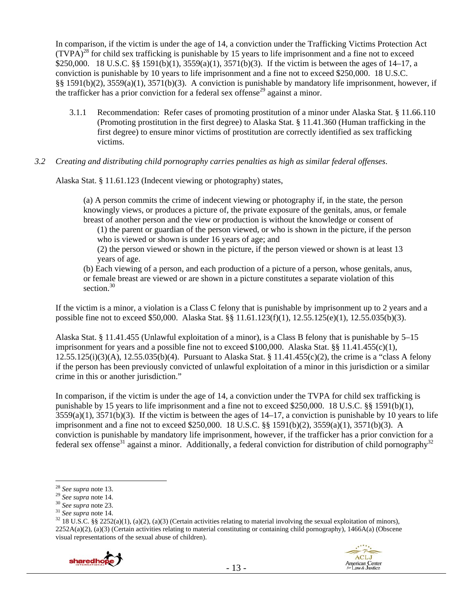In comparison, if the victim is under the age of 14, a conviction under the Trafficking Victims Protection Act  $(TVPA)<sup>28</sup>$  for child sex trafficking is punishable by 15 years to life imprisonment and a fine not to exceed \$250,000. 18 U.S.C. §§ 1591(b)(1), 3559(a)(1), 3571(b)(3). If the victim is between the ages of 14–17, a conviction is punishable by 10 years to life imprisonment and a fine not to exceed \$250,000. 18 U.S.C. §§ 1591(b)(2), 3559(a)(1), 3571(b)(3). A conviction is punishable by mandatory life imprisonment, however, if the trafficker has a prior conviction for a federal sex offense<sup>29</sup> against a minor.

3.1.1 Recommendation: Refer cases of promoting prostitution of a minor under Alaska Stat. § 11.66.110 (Promoting prostitution in the first degree) to Alaska Stat. § 11.41.360 (Human trafficking in the first degree) to ensure minor victims of prostitution are correctly identified as sex trafficking victims.

#### *3.2 Creating and distributing child pornography carries penalties as high as similar federal offenses*.

Alaska Stat. § 11.61.123 (Indecent viewing or photography) states,

(a) A person commits the crime of indecent viewing or photography if, in the state, the person knowingly views, or produces a picture of, the private exposure of the genitals, anus, or female breast of another person and the view or production is without the knowledge or consent of

(1) the parent or guardian of the person viewed, or who is shown in the picture, if the person who is viewed or shown is under 16 years of age; and

(2) the person viewed or shown in the picture, if the person viewed or shown is at least 13 years of age.

(b) Each viewing of a person, and each production of a picture of a person, whose genitals, anus, or female breast are viewed or are shown in a picture constitutes a separate violation of this section  $30$ 

If the victim is a minor, a violation is a Class C felony that is punishable by imprisonment up to 2 years and a possible fine not to exceed \$50,000. Alaska Stat. §§ 11.61.123(f)(1), 12.55.125(e)(1), 12.55.035(b)(3).

Alaska Stat. § 11.41.455 (Unlawful exploitation of a minor), is a Class B felony that is punishable by 5–15 imprisonment for years and a possible fine not to exceed \$100,000. Alaska Stat. §§ 11.41.455(c)(1), 12.55.125(i)(3)(A), 12.55.035(b)(4). Pursuant to Alaska Stat. § 11.41.455(c)(2), the crime is a "class A felony if the person has been previously convicted of unlawful exploitation of a minor in this jurisdiction or a similar crime in this or another jurisdiction."

In comparison, if the victim is under the age of 14, a conviction under the TVPA for child sex trafficking is punishable by 15 years to life imprisonment and a fine not to exceed \$250,000. 18 U.S.C. §§ 1591(b)(1),  $3559(a)(1)$ ,  $3571(b)(3)$ . If the victim is between the ages of  $14-17$ , a conviction is punishable by 10 years to life imprisonment and a fine not to exceed \$250,000. 18 U.S.C. §§ 1591(b)(2), 3559(a)(1), 3571(b)(3). A conviction is punishable by mandatory life imprisonment, however, if the trafficker has a prior conviction for a federal sex offense<sup>31</sup> against a minor. Additionally, a federal conviction for distribution of child pornography<sup>32</sup>

<sup>&</sup>lt;sup>29</sup> See supra note 14.<br><sup>30</sup> See supra note 23.<br><sup>31</sup> See supra note 23.<br><sup>31</sup> See supra note 14.<br><sup>32</sup> 18 U.S.C. §§ 2252(a)(1), (a)(2), (a)(3) (Certain activities relating to material involving the sexual exploitation of mi  $2252A(a)(2)$ , (a)(3) (Certain activities relating to material constituting or containing child pornography), 1466A(a) (Obscene visual representations of the sexual abuse of children).



<sup>&</sup>lt;sup>28</sup> See supra note 13.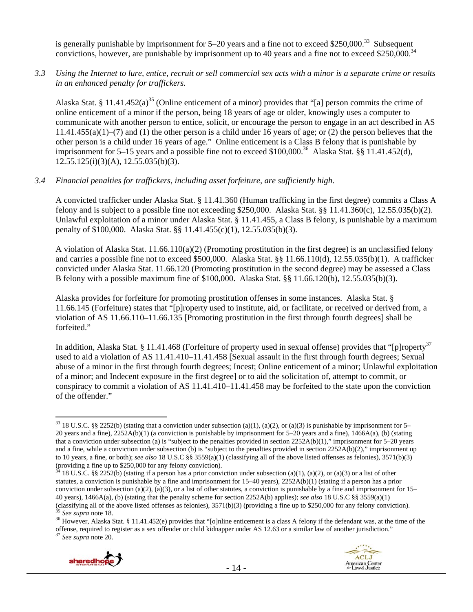is generally punishable by imprisonment for  $5-20$  years and a fine not to exceed \$250,000.<sup>33</sup> Subsequent convictions, however, are punishable by imprisonment up to 40 years and a fine not to exceed \$250,000.<sup>34</sup>

*3.3 Using the Internet to lure, entice, recruit or sell commercial sex acts with a minor is a separate crime or results in an enhanced penalty for traffickers.* 

Alaska Stat. § 11.41.452(a)<sup>35</sup> (Online enticement of a minor) provides that "[a] person commits the crime of online enticement of a minor if the person, being 18 years of age or older, knowingly uses a computer to communicate with another person to entice, solicit, or encourage the person to engage in an act described in AS 11.41.455(a)(1)–(7) and (1) the other person is a child under 16 years of age; or (2) the person believes that the other person is a child under 16 years of age." Online enticement is a Class B felony that is punishable by imprisonment for 5–15 years and a possible fine not to exceed \$100,000.<sup>36</sup> Alaska Stat. §§ 11.41.452(d),  $12.55.125(i)(3)(A), 12.55.035(b)(3).$ 

*3.4 Financial penalties for traffickers, including asset forfeiture, are sufficiently high*.

A convicted trafficker under Alaska Stat. § 11.41.360 (Human trafficking in the first degree) commits a Class A felony and is subject to a possible fine not exceeding \$250,000. Alaska Stat. §§ 11.41.360(c), 12.55.035(b)(2). Unlawful exploitation of a minor under Alaska Stat. § 11.41.455, a Class B felony, is punishable by a maximum penalty of \$100,000. Alaska Stat. §§ 11.41.455(c)(1), 12.55.035(b)(3).

A violation of Alaska Stat. 11.66.110(a)(2) (Promoting prostitution in the first degree) is an unclassified felony and carries a possible fine not to exceed \$500,000. Alaska Stat. §§ 11.66.110(d), 12.55.035(b)(1). A trafficker convicted under Alaska Stat. 11.66.120 (Promoting prostitution in the second degree) may be assessed a Class B felony with a possible maximum fine of \$100,000. Alaska Stat. §§ 11.66.120(b), 12.55.035(b)(3).

Alaska provides for forfeiture for promoting prostitution offenses in some instances. Alaska Stat. § 11.66.145 (Forfeiture) states that "[p]roperty used to institute, aid, or facilitate, or received or derived from, a violation of AS 11.66.110–11.66.135 [Promoting prostitution in the first through fourth degrees] shall be forfeited."

In addition, Alaska Stat. § 11.41.468 (Forfeiture of property used in sexual offense) provides that "[p]roperty<sup>37</sup> used to aid a violation of AS 11.41.410–11.41.458 [Sexual assault in the first through fourth degrees; Sexual abuse of a minor in the first through fourth degrees; Incest; Online enticement of a minor; Unlawful exploitation of a minor; and Indecent exposure in the first degree] or to aid the solicitation of, attempt to commit, or conspiracy to commit a violation of AS 11.41.410–11.41.458 may be forfeited to the state upon the conviction of the offender."

<sup>&</sup>lt;sup>35</sup> See supra note 18.<br><sup>36</sup> However, Alaska Stat. § 11.41.452(e) provides that "[o]nline enticement is a class A felony if the defendant was, at the time of the offense, required to register as a sex offender or child kidnapper under AS 12.63 or a similar law of another jurisdiction." <sup>37</sup> *See supra* note 20.





 $\overline{a}$ <sup>33</sup> 18 U.S.C. §§ 2252(b) (stating that a conviction under subsection (a)(1), (a)(2), or (a)(3) is punishable by imprisonment for 5– 20 years and a fine), 2252A(b)(1) (a conviction is punishable by imprisonment for 5–20 years and a fine), 1466A(a), (b) (stating that a conviction under subsection (a) is "subject to the penalties provided in section  $2252A(b)(1)$ ," imprisonment for 5–20 years and a fine, while a conviction under subsection (b) is "subject to the penalties provided in section 2252A(b)(2)," imprisonment up to 10 years, a fine, or both); *see also* 18 U.S.C §§ 3559(a)(1) (classifying all of the above listed offenses as felonies), 3571(b)(3) (providing a fine up to \$250,000 for any felony conviction).

<sup>18</sup> U.S.C. §§ 2252(b) (stating if a person has a prior conviction under subsection (a)(1), (a)(2), or (a)(3) or a list of other statutes, a conviction is punishable by a fine and imprisonment for 15–40 years), 2252A(b)(1) (stating if a person has a prior conviction under subsection (a)(2), (a)(3), or a list of other statutes, a conviction is punishable by a fine and imprisonment for  $15-$ 40 years), 1466A(a), (b) (stating that the penalty scheme for section 2252A(b) applies); *see also* 18 U.S.C §§ 3559(a)(1)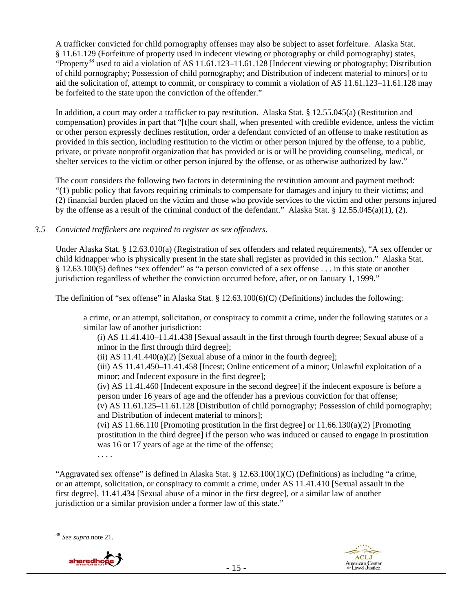A trafficker convicted for child pornography offenses may also be subject to asset forfeiture. Alaska Stat. § 11.61.129 (Forfeiture of property used in indecent viewing or photography or child pornography) states, "Property<sup>38</sup> used to aid a violation of AS 11.61.123–11.61.128 [Indecent viewing or photography; Distribution of child pornography; Possession of child pornography; and Distribution of indecent material to minors] or to aid the solicitation of, attempt to commit, or conspiracy to commit a violation of AS 11.61.123–11.61.128 may be forfeited to the state upon the conviction of the offender."

In addition, a court may order a trafficker to pay restitution. Alaska Stat. § 12.55.045(a) (Restitution and compensation) provides in part that "[t]he court shall, when presented with credible evidence, unless the victim or other person expressly declines restitution, order a defendant convicted of an offense to make restitution as provided in this section, including restitution to the victim or other person injured by the offense, to a public, private, or private nonprofit organization that has provided or is or will be providing counseling, medical, or shelter services to the victim or other person injured by the offense, or as otherwise authorized by law."

The court considers the following two factors in determining the restitution amount and payment method: "(1) public policy that favors requiring criminals to compensate for damages and injury to their victims; and (2) financial burden placed on the victim and those who provide services to the victim and other persons injured by the offense as a result of the criminal conduct of the defendant." Alaska Stat. § 12.55.045(a)(1), (2).

## *3.5 Convicted traffickers are required to register as sex offenders.*

Under Alaska Stat. § 12.63.010(a) (Registration of sex offenders and related requirements), "A sex offender or child kidnapper who is physically present in the state shall register as provided in this section." Alaska Stat. § 12.63.100(5) defines "sex offender" as "a person convicted of a sex offense . . . in this state or another jurisdiction regardless of whether the conviction occurred before, after, or on January 1, 1999."

The definition of "sex offense" in Alaska Stat. § 12.63.100(6)(C) (Definitions) includes the following:

a crime, or an attempt, solicitation, or conspiracy to commit a crime, under the following statutes or a similar law of another jurisdiction:

(i) AS 11.41.410–11.41.438 [Sexual assault in the first through fourth degree; Sexual abuse of a minor in the first through third degree];

(ii) AS  $11.41.440(a)(2)$  [Sexual abuse of a minor in the fourth degree];

(iii) AS 11.41.450–11.41.458 [Incest; Online enticement of a minor; Unlawful exploitation of a minor; and Indecent exposure in the first degree];

(iv) AS 11.41.460 [Indecent exposure in the second degree] if the indecent exposure is before a person under 16 years of age and the offender has a previous conviction for that offense;

(v) AS 11.61.125–11.61.128 [Distribution of child pornography; Possession of child pornography; and Distribution of indecent material to minors];

(vi) AS 11.66.110 [Promoting prostitution in the first degree] or  $11.66.130(a)(2)$  [Promoting prostitution in the third degree] if the person who was induced or caused to engage in prostitution was 16 or 17 years of age at the time of the offense;

. . . .

"Aggravated sex offense" is defined in Alaska Stat. § 12.63.100(1)(C) (Definitions) as including "a crime, or an attempt, solicitation, or conspiracy to commit a crime, under AS 11.41.410 [Sexual assault in the first degree], 11.41.434 [Sexual abuse of a minor in the first degree], or a similar law of another jurisdiction or a similar provision under a former law of this state."

 $\overline{a}$ <sup>38</sup> *See supra* note 21.



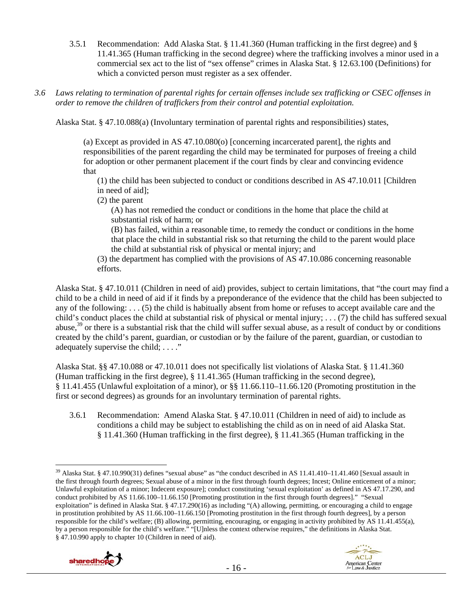- 3.5.1 Recommendation: Add Alaska Stat. § 11.41.360 (Human trafficking in the first degree) and § 11.41.365 (Human trafficking in the second degree) where the trafficking involves a minor used in a commercial sex act to the list of "sex offense" crimes in Alaska Stat. § 12.63.100 (Definitions) for which a convicted person must register as a sex offender.
- *3.6 Laws relating to termination of parental rights for certain offenses include sex trafficking or CSEC offenses in order to remove the children of traffickers from their control and potential exploitation.*

Alaska Stat. § 47.10.088(a) (Involuntary termination of parental rights and responsibilities) states,

(a) Except as provided in AS 47.10.080(o) [concerning incarcerated parent], the rights and responsibilities of the parent regarding the child may be terminated for purposes of freeing a child for adoption or other permanent placement if the court finds by clear and convincing evidence that

(1) the child has been subjected to conduct or conditions described in AS 47.10.011 [Children in need of aid];

(2) the parent

(A) has not remedied the conduct or conditions in the home that place the child at substantial risk of harm; or

(B) has failed, within a reasonable time, to remedy the conduct or conditions in the home that place the child in substantial risk so that returning the child to the parent would place the child at substantial risk of physical or mental injury; and

(3) the department has complied with the provisions of AS 47.10.086 concerning reasonable efforts.

Alaska Stat. § 47.10.011 (Children in need of aid) provides, subject to certain limitations, that "the court may find a child to be a child in need of aid if it finds by a preponderance of the evidence that the child has been subjected to any of the following: . . . (5) the child is habitually absent from home or refuses to accept available care and the child's conduct places the child at substantial risk of physical or mental injury; . . . (7) the child has suffered sexual abuse,39 or there is a substantial risk that the child will suffer sexual abuse, as a result of conduct by or conditions created by the child's parent, guardian, or custodian or by the failure of the parent, guardian, or custodian to adequately supervise the child; . . . ."

Alaska Stat. §§ 47.10.088 or 47.10.011 does not specifically list violations of Alaska Stat. § 11.41.360 (Human trafficking in the first degree), § 11.41.365 (Human trafficking in the second degree), § 11.41.455 (Unlawful exploitation of a minor), or §§ 11.66.110–11.66.120 (Promoting prostitution in the first or second degrees) as grounds for an involuntary termination of parental rights.

3.6.1 Recommendation: Amend Alaska Stat. § 47.10.011 (Children in need of aid) to include as conditions a child may be subject to establishing the child as on in need of aid Alaska Stat. § 11.41.360 (Human trafficking in the first degree), § 11.41.365 (Human trafficking in the

 $\overline{a}$ <sup>39</sup> Alaska Stat. § 47.10.990(31) defines "sexual abuse" as "the conduct described in AS 11.41.410-11.41.460 [Sexual assault in the first through fourth degrees; Sexual abuse of a minor in the first through fourth degrees; Incest; Online enticement of a minor; Unlawful exploitation of a minor; Indecent exposure]; conduct constituting 'sexual exploitation' as defined in AS 47.17.290, and conduct prohibited by AS 11.66.100–11.66.150 [Promoting prostitution in the first through fourth degrees]." "Sexual exploitation" is defined in Alaska Stat. § 47.17.290(16) as including "(A) allowing, permitting, or encouraging a child to engage in prostitution prohibited by AS 11.66.100–11.66.150 [Promoting prostitution in the first through fourth degrees], by a person responsible for the child's welfare; (B) allowing, permitting, encouraging, or engaging in activity prohibited by AS 11.41.455(a), by a person responsible for the child's welfare." "[U]nless the context otherwise requires," the definitions in Alaska Stat. § 47.10.990 apply to chapter 10 (Children in need of aid).



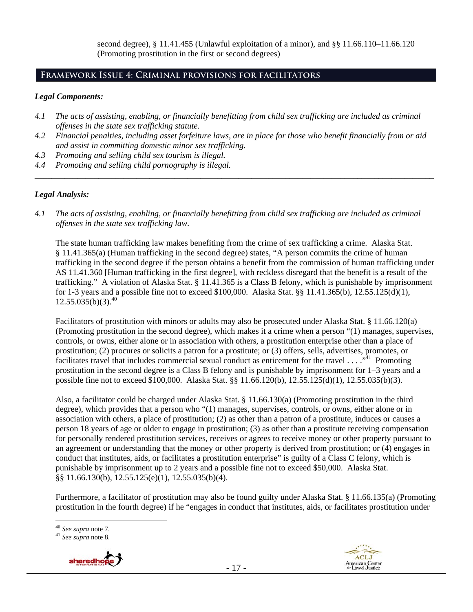second degree),  $\S$  11.41.455 (Unlawful exploitation of a minor), and  $\S$  $\S$  11.66.110–11.66.120 (Promoting prostitution in the first or second degrees)

# **Framework Issue 4: Criminal provisions for facilitators**

## *Legal Components:*

- *4.1 The acts of assisting, enabling, or financially benefitting from child sex trafficking are included as criminal offenses in the state sex trafficking statute.*
- *4.2 Financial penalties, including asset forfeiture laws, are in place for those who benefit financially from or aid and assist in committing domestic minor sex trafficking.*

*\_\_\_\_\_\_\_\_\_\_\_\_\_\_\_\_\_\_\_\_\_\_\_\_\_\_\_\_\_\_\_\_\_\_\_\_\_\_\_\_\_\_\_\_\_\_\_\_\_\_\_\_\_\_\_\_\_\_\_\_\_\_\_\_\_\_\_\_\_\_\_\_\_\_\_\_\_\_\_\_\_\_\_\_\_\_\_\_\_\_\_\_\_\_* 

- *4.3 Promoting and selling child sex tourism is illegal.*
- *4.4 Promoting and selling child pornography is illegal.*

## *Legal Analysis:*

*4.1 The acts of assisting, enabling, or financially benefitting from child sex trafficking are included as criminal offenses in the state sex trafficking law*.

The state human trafficking law makes benefiting from the crime of sex trafficking a crime. Alaska Stat. § 11.41.365(a) (Human trafficking in the second degree) states, "A person commits the crime of human trafficking in the second degree if the person obtains a benefit from the commission of human trafficking under AS 11.41.360 [Human trafficking in the first degree], with reckless disregard that the benefit is a result of the trafficking." A violation of Alaska Stat. § 11.41.365 is a Class B felony, which is punishable by imprisonment for 1-3 years and a possible fine not to exceed \$100,000. Alaska Stat. §§ 11.41.365(b), 12.55.125(d)(1),  $12.55.035(b)(3).^{40}$ 

Facilitators of prostitution with minors or adults may also be prosecuted under Alaska Stat. § 11.66.120(a) (Promoting prostitution in the second degree), which makes it a crime when a person "(1) manages, supervises, controls, or owns, either alone or in association with others, a prostitution enterprise other than a place of prostitution; (2) procures or solicits a patron for a prostitute; or (3) offers, sells, advertises, promotes, or facilitates travel that includes commercial sexual conduct as enticement for the travel  $\dots$ <sup>31</sup> Promoting prostitution in the second degree is a Class B felony and is punishable by imprisonment for 1–3 years and a possible fine not to exceed \$100,000. Alaska Stat. §§ 11.66.120(b), 12.55.125(d)(1), 12.55.035(b)(3).

Also, a facilitator could be charged under Alaska Stat. § 11.66.130(a) (Promoting prostitution in the third degree), which provides that a person who "(1) manages, supervises, controls, or owns, either alone or in association with others, a place of prostitution; (2) as other than a patron of a prostitute, induces or causes a person 18 years of age or older to engage in prostitution; (3) as other than a prostitute receiving compensation for personally rendered prostitution services, receives or agrees to receive money or other property pursuant to an agreement or understanding that the money or other property is derived from prostitution; or (4) engages in conduct that institutes, aids, or facilitates a prostitution enterprise" is guilty of a Class C felony, which is punishable by imprisonment up to 2 years and a possible fine not to exceed \$50,000. Alaska Stat. §§ 11.66.130(b), 12.55.125(e)(1), 12.55.035(b)(4).

Furthermore, a facilitator of prostitution may also be found guilty under Alaska Stat. § 11.66.135(a) (Promoting prostitution in the fourth degree) if he "engages in conduct that institutes, aids, or facilitates prostitution under

<sup>40</sup> *See supra* note 7. 41 *See supra* note 8.





 $40$  See supra note 7.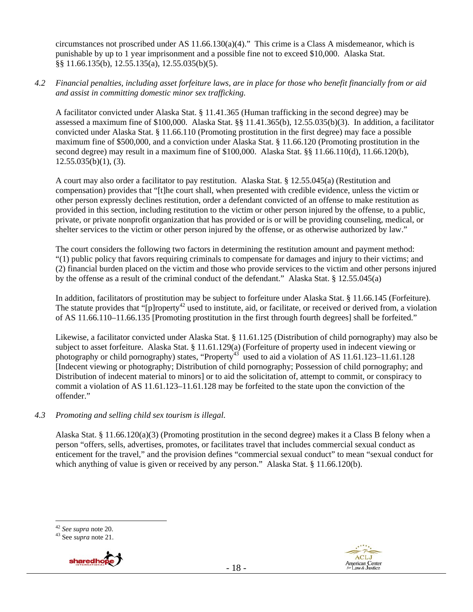circumstances not proscribed under AS  $11.66.130(a)(4)$ ." This crime is a Class A misdemeanor, which is punishable by up to 1 year imprisonment and a possible fine not to exceed \$10,000. Alaska Stat. §§ 11.66.135(b), 12.55.135(a), 12.55.035(b)(5).

#### *4.2 Financial penalties, including asset forfeiture laws, are in place for those who benefit financially from or aid and assist in committing domestic minor sex trafficking.*

A facilitator convicted under Alaska Stat. § 11.41.365 (Human trafficking in the second degree) may be assessed a maximum fine of \$100,000. Alaska Stat. §§ 11.41.365(b), 12.55.035(b)(3). In addition, a facilitator convicted under Alaska Stat. § 11.66.110 (Promoting prostitution in the first degree) may face a possible maximum fine of \$500,000, and a conviction under Alaska Stat. § 11.66.120 (Promoting prostitution in the second degree) may result in a maximum fine of \$100,000. Alaska Stat. §§ 11.66.110(d), 11.66.120(b),  $12.55.035(b)(1)$ , (3).

A court may also order a facilitator to pay restitution. Alaska Stat. § 12.55.045(a) (Restitution and compensation) provides that "[t]he court shall, when presented with credible evidence, unless the victim or other person expressly declines restitution, order a defendant convicted of an offense to make restitution as provided in this section, including restitution to the victim or other person injured by the offense, to a public, private, or private nonprofit organization that has provided or is or will be providing counseling, medical, or shelter services to the victim or other person injured by the offense, or as otherwise authorized by law."

The court considers the following two factors in determining the restitution amount and payment method: "(1) public policy that favors requiring criminals to compensate for damages and injury to their victims; and (2) financial burden placed on the victim and those who provide services to the victim and other persons injured by the offense as a result of the criminal conduct of the defendant." Alaska Stat. § 12.55.045(a)

In addition, facilitators of prostitution may be subject to forfeiture under Alaska Stat. § 11.66.145 (Forfeiture). The statute provides that " $[p]$ roperty<sup>42</sup> used to institute, aid, or facilitate, or received or derived from, a violation of AS 11.66.110–11.66.135 [Promoting prostitution in the first through fourth degrees] shall be forfeited."

Likewise, a facilitator convicted under Alaska Stat. § 11.61.125 (Distribution of child pornography) may also be subject to asset forfeiture. Alaska Stat. § 11.61.129(a) (Forfeiture of property used in indecent viewing or photography or child pornography) states, "Property<sup>43</sup> used to aid a violation of AS 11.61.123–11.61.128 [Indecent viewing or photography; Distribution of child pornography; Possession of child pornography; and Distribution of indecent material to minors] or to aid the solicitation of, attempt to commit, or conspiracy to commit a violation of AS 11.61.123–11.61.128 may be forfeited to the state upon the conviction of the offender."

## *4.3 Promoting and selling child sex tourism is illegal*.

Alaska Stat. § 11.66.120(a)(3) (Promoting prostitution in the second degree) makes it a Class B felony when a person "offers, sells, advertises, promotes, or facilitates travel that includes commercial sexual conduct as enticement for the travel," and the provision defines "commercial sexual conduct" to mean "sexual conduct for which anything of value is given or received by any person." Alaska Stat. § 11.66.120(b).





 $\overline{a}$ <sup>42</sup> *See supra* note 20. 43 See *supra* note 21.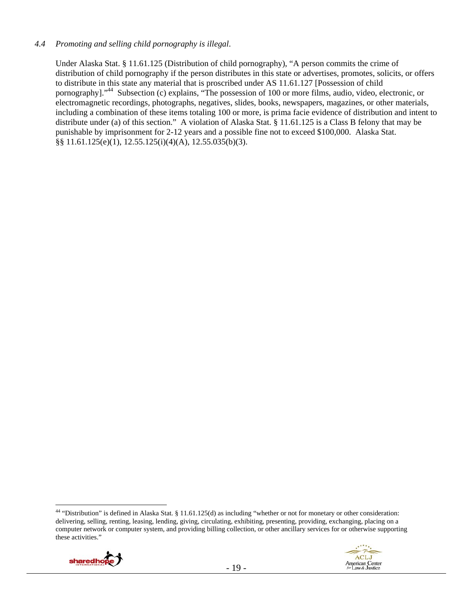#### *4.4 Promoting and selling child pornography is illegal*.

Under Alaska Stat. § 11.61.125 (Distribution of child pornography), "A person commits the crime of distribution of child pornography if the person distributes in this state or advertises, promotes, solicits, or offers to distribute in this state any material that is proscribed under AS 11.61.127 [Possession of child pornography]."44 Subsection (c) explains, "The possession of 100 or more films, audio, video, electronic, or electromagnetic recordings, photographs, negatives, slides, books, newspapers, magazines, or other materials, including a combination of these items totaling 100 or more, is prima facie evidence of distribution and intent to distribute under (a) of this section." A violation of Alaska Stat. § 11.61.125 is a Class B felony that may be punishable by imprisonment for 2-12 years and a possible fine not to exceed \$100,000. Alaska Stat. §§ 11.61.125(e)(1), 12.55.125(i)(4)(A), 12.55.035(b)(3).

 $\overline{a}$  $44$  "Distribution" is defined in Alaska Stat. § 11.61.125(d) as including "whether or not for monetary or other consideration: delivering, selling, renting, leasing, lending, giving, circulating, exhibiting, presenting, providing, exchanging, placing on a computer network or computer system, and providing billing collection, or other ancillary services for or otherwise supporting these activities."



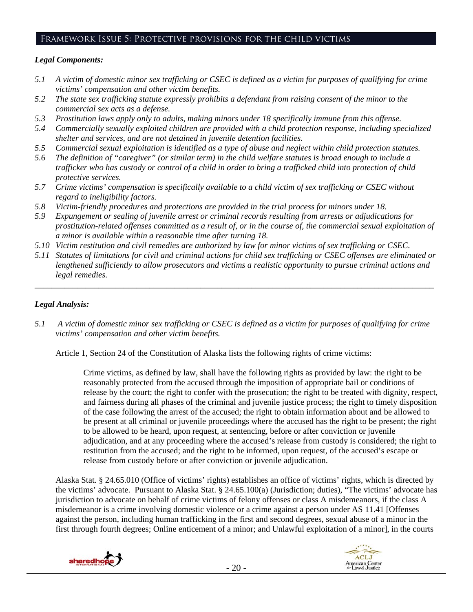# Framework Issue 5: Protective provisions for the child victims

#### *Legal Components:*

- *5.1 A victim of domestic minor sex trafficking or CSEC is defined as a victim for purposes of qualifying for crime victims' compensation and other victim benefits.*
- *5.2 The state sex trafficking statute expressly prohibits a defendant from raising consent of the minor to the commercial sex acts as a defense.*
- *5.3 Prostitution laws apply only to adults, making minors under 18 specifically immune from this offense.*
- *5.4 Commercially sexually exploited children are provided with a child protection response, including specialized shelter and services, and are not detained in juvenile detention facilities.*
- *5.5 Commercial sexual exploitation is identified as a type of abuse and neglect within child protection statutes.*
- *5.6 The definition of "caregiver" (or similar term) in the child welfare statutes is broad enough to include a trafficker who has custody or control of a child in order to bring a trafficked child into protection of child protective services.*
- *5.7 Crime victims' compensation is specifically available to a child victim of sex trafficking or CSEC without regard to ineligibility factors.*
- *5.8 Victim-friendly procedures and protections are provided in the trial process for minors under 18.*
- *5.9 Expungement or sealing of juvenile arrest or criminal records resulting from arrests or adjudications for prostitution-related offenses committed as a result of, or in the course of, the commercial sexual exploitation of a minor is available within a reasonable time after turning 18.*
- *5.10 Victim restitution and civil remedies are authorized by law for minor victims of sex trafficking or CSEC.*
- *5.11 Statutes of limitations for civil and criminal actions for child sex trafficking or CSEC offenses are eliminated or lengthened sufficiently to allow prosecutors and victims a realistic opportunity to pursue criminal actions and legal remedies.*

*\_\_\_\_\_\_\_\_\_\_\_\_\_\_\_\_\_\_\_\_\_\_\_\_\_\_\_\_\_\_\_\_\_\_\_\_\_\_\_\_\_\_\_\_\_\_\_\_\_\_\_\_\_\_\_\_\_\_\_\_\_\_\_\_\_\_\_\_\_\_\_\_\_\_\_\_\_\_\_\_\_\_\_\_\_\_\_\_\_\_\_\_\_\_* 

#### *Legal Analysis:*

*5.1 A victim of domestic minor sex trafficking or CSEC is defined as a victim for purposes of qualifying for crime victims' compensation and other victim benefits.* 

Article 1, Section 24 of the Constitution of Alaska lists the following rights of crime victims:

Crime victims, as defined by law, shall have the following rights as provided by law: the right to be reasonably protected from the accused through the imposition of appropriate bail or conditions of release by the court; the right to confer with the prosecution; the right to be treated with dignity, respect, and fairness during all phases of the criminal and juvenile justice process; the right to timely disposition of the case following the arrest of the accused; the right to obtain information about and be allowed to be present at all criminal or juvenile proceedings where the accused has the right to be present; the right to be allowed to be heard, upon request, at sentencing, before or after conviction or juvenile adjudication, and at any proceeding where the accused's release from custody is considered; the right to restitution from the accused; and the right to be informed, upon request, of the accused's escape or release from custody before or after conviction or juvenile adjudication.

Alaska Stat. § 24.65.010 (Office of victims' rights) establishes an office of victims' rights, which is directed by the victims' advocate. Pursuant to Alaska Stat. § 24.65.100(a) (Jurisdiction; duties), "The victims' advocate has jurisdiction to advocate on behalf of crime victims of felony offenses or class A misdemeanors, if the class A misdemeanor is a crime involving domestic violence or a crime against a person under AS 11.41 [Offenses against the person, including human trafficking in the first and second degrees, sexual abuse of a minor in the first through fourth degrees; Online enticement of a minor; and Unlawful exploitation of a minor], in the courts



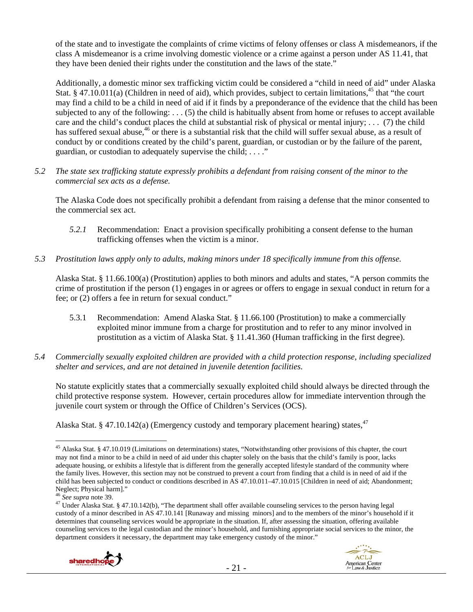of the state and to investigate the complaints of crime victims of felony offenses or class A misdemeanors, if the class A misdemeanor is a crime involving domestic violence or a crime against a person under AS 11.41, that they have been denied their rights under the constitution and the laws of the state."

Additionally, a domestic minor sex trafficking victim could be considered a "child in need of aid" under Alaska Stat. § 47.10.011(a) (Children in need of aid), which provides, subject to certain limitations,<sup>45</sup> that "the court may find a child to be a child in need of aid if it finds by a preponderance of the evidence that the child has been subjected to any of the following: . . . (5) the child is habitually absent from home or refuses to accept available care and the child's conduct places the child at substantial risk of physical or mental injury; . . . (7) the child has suffered sexual abuse,<sup>46</sup> or there is a substantial risk that the child will suffer sexual abuse, as a result of conduct by or conditions created by the child's parent, guardian, or custodian or by the failure of the parent, guardian, or custodian to adequately supervise the child; . . . ."

*5.2 The state sex trafficking statute expressly prohibits a defendant from raising consent of the minor to the commercial sex acts as a defense.* 

The Alaska Code does not specifically prohibit a defendant from raising a defense that the minor consented to the commercial sex act.

- *5.2.1* Recommendation: Enact a provision specifically prohibiting a consent defense to the human trafficking offenses when the victim is a minor.
- *5.3 Prostitution laws apply only to adults, making minors under 18 specifically immune from this offense.*

Alaska Stat. § 11.66.100(a) (Prostitution) applies to both minors and adults and states, "A person commits the crime of prostitution if the person (1) engages in or agrees or offers to engage in sexual conduct in return for a fee; or (2) offers a fee in return for sexual conduct."

- 5.3.1 Recommendation: Amend Alaska Stat. § 11.66.100 (Prostitution) to make a commercially exploited minor immune from a charge for prostitution and to refer to any minor involved in prostitution as a victim of Alaska Stat. § 11.41.360 (Human trafficking in the first degree).
- *5.4 Commercially sexually exploited children are provided with a child protection response, including specialized shelter and services, and are not detained in juvenile detention facilities.*

No statute explicitly states that a commercially sexually exploited child should always be directed through the child protective response system. However, certain procedures allow for immediate intervention through the juvenile court system or through the Office of Children's Services (OCS).

Alaska Stat. § 47.10.142(a) (Emergency custody and temporary placement hearing) states.<sup>47</sup>

<sup>&</sup>lt;sup>47</sup> Under Alaska Stat. § 47.10.142(b), "The department shall offer available counseling services to the person having legal custody of a minor described in AS 47.10.141 [Runaway and missing minors] and to the members of the minor's household if it determines that counseling services would be appropriate in the situation. If, after assessing the situation, offering available counseling services to the legal custodian and the minor's household, and furnishing appropriate social services to the minor, the department considers it necessary, the department may take emergency custody of the minor."



 $\overline{a}$ <sup>45</sup> Alaska Stat. § 47.10.019 (Limitations on determinations) states, "Notwithstanding other provisions of this chapter, the court may not find a minor to be a child in need of aid under this chapter solely on the basis that the child's family is poor, lacks adequate housing, or exhibits a lifestyle that is different from the generally accepted lifestyle standard of the community where the family lives. However, this section may not be construed to prevent a court from finding that a child is in need of aid if the child has been subjected to conduct or conditions described in AS 47.10.011–47.10.015 [Children in need of aid; Abandonment; Neglect; Physical harm]."<br><sup>46</sup> See supra note 39.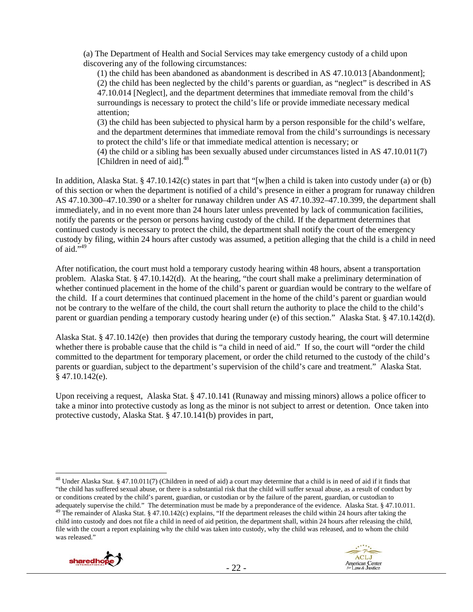(a) The Department of Health and Social Services may take emergency custody of a child upon discovering any of the following circumstances:

(1) the child has been abandoned as abandonment is described in AS 47.10.013 [Abandonment]; (2) the child has been neglected by the child's parents or guardian, as "neglect" is described in AS 47.10.014 [Neglect], and the department determines that immediate removal from the child's surroundings is necessary to protect the child's life or provide immediate necessary medical attention;

(3) the child has been subjected to physical harm by a person responsible for the child's welfare, and the department determines that immediate removal from the child's surroundings is necessary to protect the child's life or that immediate medical attention is necessary; or

(4) the child or a sibling has been sexually abused under circumstances listed in AS 47.10.011(7) [Children in need of aid].<sup>48</sup>

In addition, Alaska Stat. § 47.10.142(c) states in part that "[w]hen a child is taken into custody under (a) or (b) of this section or when the department is notified of a child's presence in either a program for runaway children AS 47.10.300–47.10.390 or a shelter for runaway children under AS 47.10.392–47.10.399, the department shall immediately, and in no event more than 24 hours later unless prevented by lack of communication facilities, notify the parents or the person or persons having custody of the child. If the department determines that continued custody is necessary to protect the child, the department shall notify the court of the emergency custody by filing, within 24 hours after custody was assumed, a petition alleging that the child is a child in need of aid.",49

After notification, the court must hold a temporary custody hearing within 48 hours, absent a transportation problem. Alaska Stat. § 47.10.142(d). At the hearing, "the court shall make a preliminary determination of whether continued placement in the home of the child's parent or guardian would be contrary to the welfare of the child. If a court determines that continued placement in the home of the child's parent or guardian would not be contrary to the welfare of the child, the court shall return the authority to place the child to the child's parent or guardian pending a temporary custody hearing under (e) of this section." Alaska Stat. § 47.10.142(d).

Alaska Stat. § 47.10.142(e) then provides that during the temporary custody hearing, the court will determine whether there is probable cause that the child is "a child in need of aid." If so, the court will "order the child committed to the department for temporary placement, or order the child returned to the custody of the child's parents or guardian, subject to the department's supervision of the child's care and treatment." Alaska Stat.  $§$  47.10.142(e).

Upon receiving a request, Alaska Stat. § 47.10.141 (Runaway and missing minors) allows a police officer to take a minor into protective custody as long as the minor is not subject to arrest or detention. Once taken into protective custody, Alaska Stat. § 47.10.141(b) provides in part,

file with the court a report explaining why the child was taken into custody, why the child was released, and to whom the child was released."





<sup>&</sup>lt;sup>48</sup> Under Alaska Stat. § 47.10.011(7) (Children in need of aid) a court may determine that a child is in need of aid if it finds that "the child has suffered sexual abuse, or there is a substantial risk that the child will suffer sexual abuse, as a result of conduct by or conditions created by the child's parent, guardian, or custodian or by the failure of the parent, guardian, or custodian to adequately supervise the child." The determination must be made by a preponderance of the evide <sup>49</sup> The remainder of Alaska Stat. § 47.10.142(c) explains, "If the department releases the child within 24 hours after taking the child into custody and does not file a child in need of aid petition, the department shall, within 24 hours after releasing the child,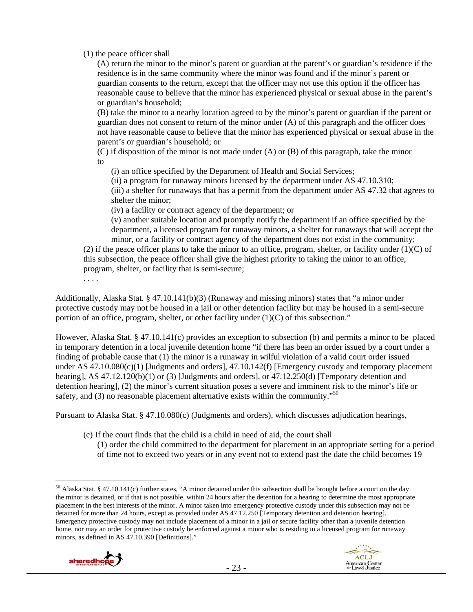(1) the peace officer shall

(A) return the minor to the minor's parent or guardian at the parent's or guardian's residence if the residence is in the same community where the minor was found and if the minor's parent or guardian consents to the return, except that the officer may not use this option if the officer has reasonable cause to believe that the minor has experienced physical or sexual abuse in the parent's or guardian's household;

(B) take the minor to a nearby location agreed to by the minor's parent or guardian if the parent or guardian does not consent to return of the minor under (A) of this paragraph and the officer does not have reasonable cause to believe that the minor has experienced physical or sexual abuse in the parent's or guardian's household; or

(C) if disposition of the minor is not made under (A) or (B) of this paragraph, take the minor to

(i) an office specified by the Department of Health and Social Services;

(ii) a program for runaway minors licensed by the department under AS 47.10.310;

(iii) a shelter for runaways that has a permit from the department under AS 47.32 that agrees to shelter the minor;

(iv) a facility or contract agency of the department; or

(v) another suitable location and promptly notify the department if an office specified by the department, a licensed program for runaway minors, a shelter for runaways that will accept the minor, or a facility or contract agency of the department does not exist in the community;

(2) if the peace officer plans to take the minor to an office, program, shelter, or facility under  $(1)(C)$  of this subsection, the peace officer shall give the highest priority to taking the minor to an office, program, shelter, or facility that is semi-secure;

. . . .

Additionally, Alaska Stat. § 47.10.141(b)(3) (Runaway and missing minors) states that "a minor under protective custody may not be housed in a jail or other detention facility but may be housed in a semi-secure portion of an office, program, shelter, or other facility under (1)(C) of this subsection."

However, Alaska Stat. § 47.10.141(c) provides an exception to subsection (b) and permits a minor to be placed in temporary detention in a local juvenile detention home "if there has been an order issued by a court under a finding of probable cause that (1) the minor is a runaway in wilful violation of a valid court order issued under AS 47.10.080(c)(1) [Judgments and orders], 47.10.142(f) [Emergency custody and temporary placement hearing], AS 47.12.120(b)(1) or (3) [Judgments and orders], or 47.12.250(d) [Temporary detention and detention hearing], (2) the minor's current situation poses a severe and imminent risk to the minor's life or safety, and  $(3)$  no reasonable placement alternative exists within the community.<sup> $50$ </sup>

Pursuant to Alaska Stat. § 47.10.080(c) (Judgments and orders), which discusses adjudication hearings,

(c) If the court finds that the child is a child in need of aid, the court shall

(1) order the child committed to the department for placement in an appropriate setting for a period of time not to exceed two years or in any event not to extend past the date the child becomes 19

 $50$  Alaska Stat. § 47.10.141(c) further states, "A minor detained under this subsection shall be brought before a court on the day the minor is detained, or if that is not possible, within 24 hours after the detention for a hearing to determine the most appropriate placement in the best interests of the minor. A minor taken into emergency protective custody under this subsection may not be detained for more than 24 hours, except as provided under AS 47.12.250 [Temporary detention and detention hearing]. Emergency protective custody may not include placement of a minor in a jail or secure facility other than a juvenile detention home, nor may an order for protective custody be enforced against a minor who is residing in a licensed program for runaway minors, as defined in AS 47.10.390 [Definitions]."

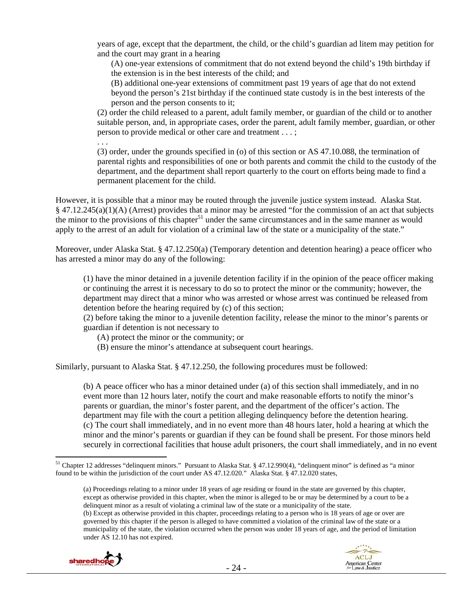years of age, except that the department, the child, or the child's guardian ad litem may petition for and the court may grant in a hearing

(A) one-year extensions of commitment that do not extend beyond the child's 19th birthday if the extension is in the best interests of the child; and

(B) additional one-year extensions of commitment past 19 years of age that do not extend beyond the person's 21st birthday if the continued state custody is in the best interests of the person and the person consents to it;

(2) order the child released to a parent, adult family member, or guardian of the child or to another suitable person, and, in appropriate cases, order the parent, adult family member, guardian, or other person to provide medical or other care and treatment . . . ;

. . .

(3) order, under the grounds specified in (o) of this section or AS 47.10.088, the termination of parental rights and responsibilities of one or both parents and commit the child to the custody of the department, and the department shall report quarterly to the court on efforts being made to find a permanent placement for the child.

However, it is possible that a minor may be routed through the juvenile justice system instead. Alaska Stat. § 47.12.245(a)(1)(A) (Arrest) provides that a minor may be arrested "for the commission of an act that subjects the minor to the provisions of this chapter<sup>51</sup> under the same circumstances and in the same manner as would apply to the arrest of an adult for violation of a criminal law of the state or a municipality of the state."

Moreover, under Alaska Stat. § 47.12.250(a) (Temporary detention and detention hearing) a peace officer who has arrested a minor may do any of the following:

(1) have the minor detained in a juvenile detention facility if in the opinion of the peace officer making or continuing the arrest it is necessary to do so to protect the minor or the community; however, the department may direct that a minor who was arrested or whose arrest was continued be released from detention before the hearing required by (c) of this section;

(2) before taking the minor to a juvenile detention facility, release the minor to the minor's parents or guardian if detention is not necessary to

(A) protect the minor or the community; or

(B) ensure the minor's attendance at subsequent court hearings.

Similarly, pursuant to Alaska Stat. § 47.12.250, the following procedures must be followed:

(b) A peace officer who has a minor detained under (a) of this section shall immediately, and in no event more than 12 hours later, notify the court and make reasonable efforts to notify the minor's parents or guardian, the minor's foster parent, and the department of the officer's action. The department may file with the court a petition alleging delinquency before the detention hearing. (c) The court shall immediately, and in no event more than 48 hours later, hold a hearing at which the minor and the minor's parents or guardian if they can be found shall be present. For those minors held securely in correctional facilities that house adult prisoners, the court shall immediately, and in no event

<sup>(</sup>b) Except as otherwise provided in this chapter, proceedings relating to a person who is 18 years of age or over are governed by this chapter if the person is alleged to have committed a violation of the criminal law of the state or a municipality of the state, the violation occurred when the person was under 18 years of age, and the period of limitation under AS 12.10 has not expired.



 $\overline{a}$ <sup>51</sup> Chapter 12 addresses "delinquent minors." Pursuant to Alaska Stat. § 47.12.990(4), "delinquent minor" is defined as "a minor found to be within the jurisdiction of the court under AS 47.12.020." Alaska Stat. § 47.12.020 states,

<sup>(</sup>a) Proceedings relating to a minor under 18 years of age residing or found in the state are governed by this chapter, except as otherwise provided in this chapter, when the minor is alleged to be or may be determined by a court to be a delinquent minor as a result of violating a criminal law of the state or a municipality of the state.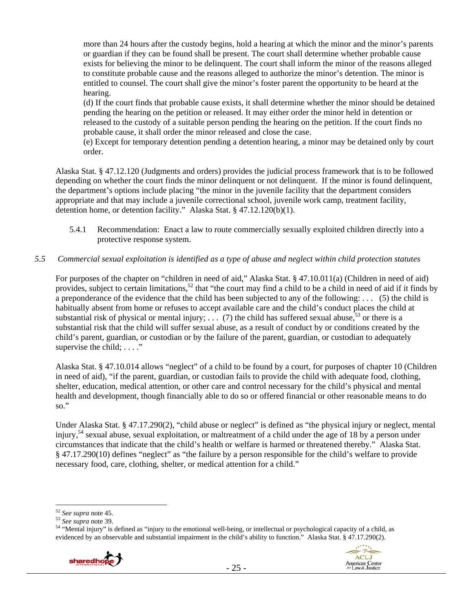more than 24 hours after the custody begins, hold a hearing at which the minor and the minor's parents or guardian if they can be found shall be present. The court shall determine whether probable cause exists for believing the minor to be delinquent. The court shall inform the minor of the reasons alleged to constitute probable cause and the reasons alleged to authorize the minor's detention. The minor is entitled to counsel. The court shall give the minor's foster parent the opportunity to be heard at the hearing.

(d) If the court finds that probable cause exists, it shall determine whether the minor should be detained pending the hearing on the petition or released. It may either order the minor held in detention or released to the custody of a suitable person pending the hearing on the petition. If the court finds no probable cause, it shall order the minor released and close the case.

(e) Except for temporary detention pending a detention hearing, a minor may be detained only by court order.

Alaska Stat. § 47.12.120 (Judgments and orders) provides the judicial process framework that is to be followed depending on whether the court finds the minor delinquent or not delinquent. If the minor is found delinquent, the department's options include placing "the minor in the juvenile facility that the department considers appropriate and that may include a juvenile correctional school, juvenile work camp, treatment facility, detention home, or detention facility." Alaska Stat. § 47.12.120(b)(1).

5.4.1 Recommendation: Enact a law to route commercially sexually exploited children directly into a protective response system.

## *5.5 Commercial sexual exploitation is identified as a type of abuse and neglect within child protection statutes*

For purposes of the chapter on "children in need of aid," Alaska Stat. § 47.10.011(a) (Children in need of aid) provides, subject to certain limitations,<sup>52</sup> that "the court may find a child to be a child in need of aid if it finds by a preponderance of the evidence that the child has been subjected to any of the following: . . . (5) the child is habitually absent from home or refuses to accept available care and the child's conduct places the child at substantial risk of physical or mental injury; ... (7) the child has suffered sexual abuse,  $53$  or there is a substantial risk that the child will suffer sexual abuse, as a result of conduct by or conditions created by the child's parent, guardian, or custodian or by the failure of the parent, guardian, or custodian to adequately supervise the child;  $\dots$ ."

Alaska Stat. § 47.10.014 allows "neglect" of a child to be found by a court, for purposes of chapter 10 (Children in need of aid), "if the parent, guardian, or custodian fails to provide the child with adequate food, clothing, shelter, education, medical attention, or other care and control necessary for the child's physical and mental health and development, though financially able to do so or offered financial or other reasonable means to do so."

Under Alaska Stat. § 47.17.290(2), "child abuse or neglect" is defined as "the physical injury or neglect, mental injury,<sup>54</sup> sexual abuse, sexual exploitation, or maltreatment of a child under the age of 18 by a person under circumstances that indicate that the child's health or welfare is harmed or threatened thereby." Alaska Stat. § 47.17.290(10) defines "neglect" as "the failure by a person responsible for the child's welfare to provide necessary food, care, clothing, shelter, or medical attention for a child."

<sup>52</sup> *See supra* note 45. 53 *See supra* note 39. 54 "Mental injury" is defined as "injury to the emotional well-being, or intellectual or psychological capacity of a child, as evidenced by an observable and substantial impairment in the child's ability to function." Alaska Stat. § 47.17.290(2).





 $^{52}$  See supra note 45.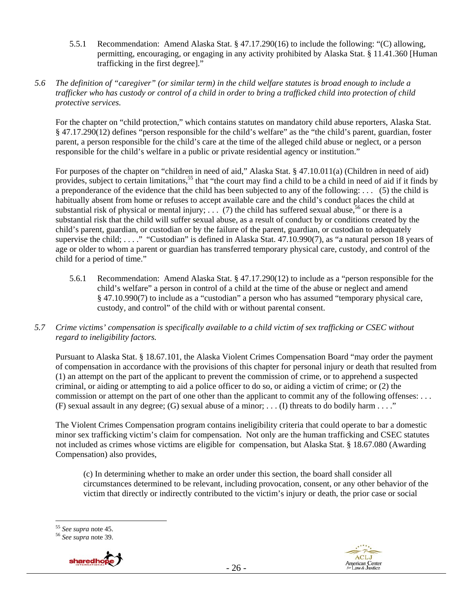5.5.1 Recommendation: Amend Alaska Stat. § 47.17.290(16) to include the following: "(C) allowing, permitting, encouraging, or engaging in any activity prohibited by Alaska Stat. § 11.41.360 [Human trafficking in the first degree]."

#### *5.6 The definition of "caregiver" (or similar term) in the child welfare statutes is broad enough to include a trafficker who has custody or control of a child in order to bring a trafficked child into protection of child protective services.*

For the chapter on "child protection," which contains statutes on mandatory child abuse reporters, Alaska Stat. § 47.17.290(12) defines "person responsible for the child's welfare" as the "the child's parent, guardian, foster parent, a person responsible for the child's care at the time of the alleged child abuse or neglect, or a person responsible for the child's welfare in a public or private residential agency or institution."

For purposes of the chapter on "children in need of aid," Alaska Stat. § 47.10.011(a) (Children in need of aid) provides, subject to certain limitations,<sup>55</sup> that "the court may find a child to be a child in need of aid if it finds by a preponderance of the evidence that the child has been subjected to any of the following: . . . (5) the child is habitually absent from home or refuses to accept available care and the child's conduct places the child at substantial risk of physical or mental injury; ... (7) the child has suffered sexual abuse,<sup>56</sup> or there is a substantial risk that the child will suffer sexual abuse, as a result of conduct by or conditions created by the child's parent, guardian, or custodian or by the failure of the parent, guardian, or custodian to adequately supervise the child; ...." "Custodian" is defined in Alaska Stat. 47.10.990(7), as "a natural person 18 years of age or older to whom a parent or guardian has transferred temporary physical care, custody, and control of the child for a period of time."

5.6.1 Recommendation: Amend Alaska Stat. § 47.17.290(12) to include as a "person responsible for the child's welfare" a person in control of a child at the time of the abuse or neglect and amend § 47.10.990(7) to include as a "custodian" a person who has assumed "temporary physical care, custody, and control" of the child with or without parental consent.

# *5.7 Crime victims' compensation is specifically available to a child victim of sex trafficking or CSEC without regard to ineligibility factors.*

Pursuant to Alaska Stat. § 18.67.101, the Alaska Violent Crimes Compensation Board "may order the payment of compensation in accordance with the provisions of this chapter for personal injury or death that resulted from (1) an attempt on the part of the applicant to prevent the commission of crime, or to apprehend a suspected criminal, or aiding or attempting to aid a police officer to do so, or aiding a victim of crime; or (2) the commission or attempt on the part of one other than the applicant to commit any of the following offenses: . . . (F) sexual assault in any degree; (G) sexual abuse of a minor; . . . (I) threats to do bodily harm . . . ."

The Violent Crimes Compensation program contains ineligibility criteria that could operate to bar a domestic minor sex trafficking victim's claim for compensation. Not only are the human trafficking and CSEC statutes not included as crimes whose victims are eligible for compensation, but Alaska Stat. § 18.67.080 (Awarding Compensation) also provides,

(c) In determining whether to make an order under this section, the board shall consider all circumstances determined to be relevant, including provocation, consent, or any other behavior of the victim that directly or indirectly contributed to the victim's injury or death, the prior case or social

<sup>55</sup> See supra note 45.

<sup>55</sup> *See supra* note 45. 56 *See supra* note 39.



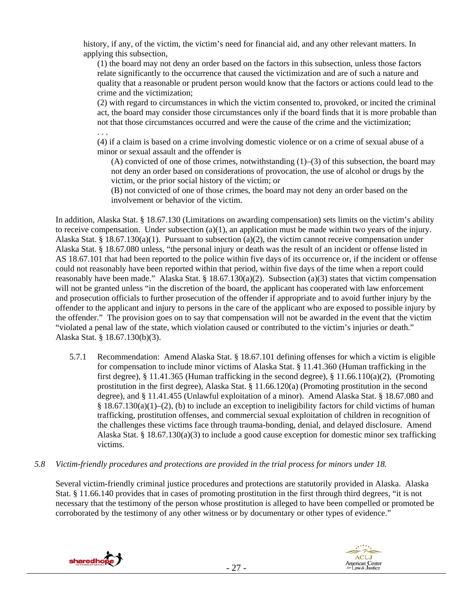history, if any, of the victim, the victim's need for financial aid, and any other relevant matters. In applying this subsection,

(1) the board may not deny an order based on the factors in this subsection, unless those factors relate significantly to the occurrence that caused the victimization and are of such a nature and quality that a reasonable or prudent person would know that the factors or actions could lead to the crime and the victimization;

(2) with regard to circumstances in which the victim consented to, provoked, or incited the criminal act, the board may consider those circumstances only if the board finds that it is more probable than not that those circumstances occurred and were the cause of the crime and the victimization; . . .

(4) if a claim is based on a crime involving domestic violence or on a crime of sexual abuse of a minor or sexual assault and the offender is

(A) convicted of one of those crimes, notwithstanding  $(1)$ – $(3)$  of this subsection, the board may not deny an order based on considerations of provocation, the use of alcohol or drugs by the victim, or the prior social history of the victim; or

(B) not convicted of one of those crimes, the board may not deny an order based on the involvement or behavior of the victim.

In addition, Alaska Stat. § 18.67.130 (Limitations on awarding compensation) sets limits on the victim's ability to receive compensation. Under subsection (a)(1), an application must be made within two years of the injury. Alaska Stat. § 18.67.130(a)(1). Pursuant to subsection (a)(2), the victim cannot receive compensation under Alaska Stat. § 18.67.080 unless, "the personal injury or death was the result of an incident or offense listed in AS 18.67.101 that had been reported to the police within five days of its occurrence or, if the incident or offense could not reasonably have been reported within that period, within five days of the time when a report could reasonably have been made." Alaska Stat. § 18.67.130(a)(2). Subsection (a)(3) states that victim compensation will not be granted unless "in the discretion of the board, the applicant has cooperated with law enforcement and prosecution officials to further prosecution of the offender if appropriate and to avoid further injury by the offender to the applicant and injury to persons in the care of the applicant who are exposed to possible injury by the offender." The provision goes on to say that compensation will not be awarded in the event that the victim "violated a penal law of the state, which violation caused or contributed to the victim's injuries or death." Alaska Stat. § 18.67.130(b)(3).

- 5.7.1 Recommendation: Amend Alaska Stat. § 18.67.101 defining offenses for which a victim is eligible for compensation to include minor victims of Alaska Stat. § 11.41.360 (Human trafficking in the first degree), § 11.41.365 (Human trafficking in the second degree), § 11.66.110(a)(2), (Promoting prostitution in the first degree), Alaska Stat. § 11.66.120(a) (Promoting prostitution in the second degree), and § 11.41.455 (Unlawful exploitation of a minor). Amend Alaska Stat. § 18.67.080 and § 18.67.130(a)(1)–(2), (b) to include an exception to ineligibility factors for child victims of human trafficking, prostitution offenses, and commercial sexual exploitation of children in recognition of the challenges these victims face through trauma-bonding, denial, and delayed disclosure. Amend Alaska Stat. § 18.67.130(a)(3) to include a good cause exception for domestic minor sex trafficking victims.
- *5.8 Victim-friendly procedures and protections are provided in the trial process for minors under 18.*

Several victim-friendly criminal justice procedures and protections are statutorily provided in Alaska. Alaska Stat. § 11.66.140 provides that in cases of promoting prostitution in the first through third degrees, "it is not necessary that the testimony of the person whose prostitution is alleged to have been compelled or promoted be corroborated by the testimony of any other witness or by documentary or other types of evidence."



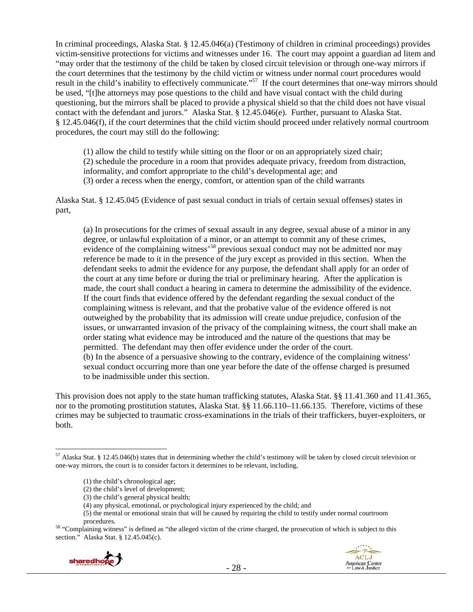In criminal proceedings, Alaska Stat. § 12.45.046(a) (Testimony of children in criminal proceedings) provides victim-sensitive protections for victims and witnesses under 16. The court may appoint a guardian ad litem and "may order that the testimony of the child be taken by closed circuit television or through one-way mirrors if the court determines that the testimony by the child victim or witness under normal court procedures would result in the child's inability to effectively communicate."<sup>57</sup> If the court determines that one-way mirrors should be used, "[t]he attorneys may pose questions to the child and have visual contact with the child during questioning, but the mirrors shall be placed to provide a physical shield so that the child does not have visual contact with the defendant and jurors." Alaska Stat. § 12.45.046(e). Further, pursuant to Alaska Stat. § 12.45.046(f), if the court determines that the child victim should proceed under relatively normal courtroom procedures, the court may still do the following:

(1) allow the child to testify while sitting on the floor or on an appropriately sized chair; (2) schedule the procedure in a room that provides adequate privacy, freedom from distraction, informality, and comfort appropriate to the child's developmental age; and (3) order a recess when the energy, comfort, or attention span of the child warrants

Alaska Stat. § 12.45.045 (Evidence of past sexual conduct in trials of certain sexual offenses) states in part,

(a) In prosecutions for the crimes of sexual assault in any degree, sexual abuse of a minor in any degree, or unlawful exploitation of a minor, or an attempt to commit any of these crimes, evidence of the complaining witness<sup>58</sup> previous sexual conduct may not be admitted nor may reference be made to it in the presence of the jury except as provided in this section. When the defendant seeks to admit the evidence for any purpose, the defendant shall apply for an order of the court at any time before or during the trial or preliminary hearing. After the application is made, the court shall conduct a hearing in camera to determine the admissibility of the evidence. If the court finds that evidence offered by the defendant regarding the sexual conduct of the complaining witness is relevant, and that the probative value of the evidence offered is not outweighed by the probability that its admission will create undue prejudice, confusion of the issues, or unwarranted invasion of the privacy of the complaining witness, the court shall make an order stating what evidence may be introduced and the nature of the questions that may be permitted. The defendant may then offer evidence under the order of the court. (b) In the absence of a persuasive showing to the contrary, evidence of the complaining witness' sexual conduct occurring more than one year before the date of the offense charged is presumed to be inadmissible under this section.

This provision does not apply to the state human trafficking statutes, Alaska Stat. §§ 11.41.360 and 11.41.365, nor to the promoting prostitution statutes, Alaska Stat. §§ 11.66.110–11.66.135. Therefore, victims of these crimes may be subjected to traumatic cross-examinations in the trials of their traffickers, buyer-exploiters, or both.

section." Alaska Stat. § 12.45.045(c).





 $\overline{a}$  $57$  Alaska Stat. § 12.45.046(b) states that in determining whether the child's testimony will be taken by closed circuit television or one-way mirrors, the court is to consider factors it determines to be relevant, including,

<sup>(1)</sup> the child's chronological age;

<sup>(2)</sup> the child's level of development;

<sup>(3)</sup> the child's general physical health;

<sup>(4)</sup> any physical, emotional, or psychological injury experienced by the child; and

<sup>(5)</sup> the mental or emotional strain that will be caused by requiring the child to testify under normal courtroom procedures.<br><sup>58</sup> "Complaining witness" is defined as "the alleged victim of the crime charged, the prosecution of which is subject to this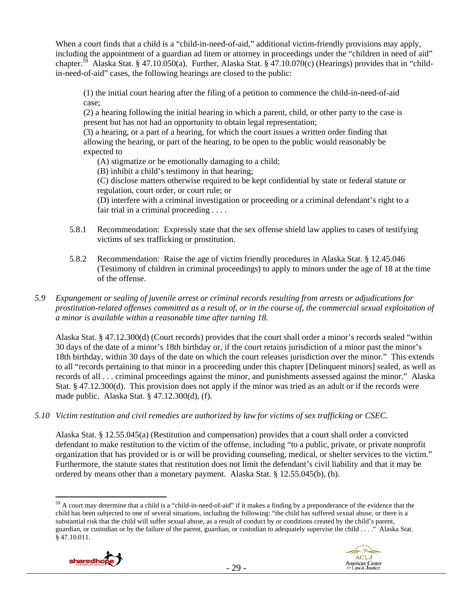When a court finds that a child is a "child-in-need-of-aid," additional victim-friendly provisions may apply, including the appointment of a guardian ad litem or attorney in proceedings under the "children in need of aid" chapter.<sup>59</sup> Alaska Stat. § 47.10.050(a). Further, Alaska Stat. § 47.10.070(c) (Hearings) provides that in "childin-need-of-aid" cases, the following hearings are closed to the public:

(1) the initial court hearing after the filing of a petition to commence the child-in-need-of-aid case;

(2) a hearing following the initial hearing in which a parent, child, or other party to the case is present but has not had an opportunity to obtain legal representation;

(3) a hearing, or a part of a hearing, for which the court issues a written order finding that allowing the hearing, or part of the hearing, to be open to the public would reasonably be expected to

(A) stigmatize or be emotionally damaging to a child;

(B) inhibit a child's testimony in that hearing;

(C) disclose matters otherwise required to be kept confidential by state or federal statute or regulation, court order, or court rule; or

(D) interfere with a criminal investigation or proceeding or a criminal defendant's right to a fair trial in a criminal proceeding . . . .

- 5.8.1 Recommendation: Expressly state that the sex offense shield law applies to cases of testifying victims of sex trafficking or prostitution.
- 5.8.2 Recommendation: Raise the age of victim friendly procedures in Alaska Stat. § 12.45.046 (Testimony of children in criminal proceedings) to apply to minors under the age of 18 at the time of the offense.

## *5.9 Expungement or sealing of juvenile arrest or criminal records resulting from arrests or adjudications for prostitution-related offenses committed as a result of, or in the course of, the commercial sexual exploitation of a minor is available within a reasonable time after turning 18.*

Alaska Stat. § 47.12.300(d) (Court records) provides that the court shall order a minor's records sealed "within 30 days of the date of a minor's 18th birthday or, if the court retains jurisdiction of a minor past the minor's 18th birthday, within 30 days of the date on which the court releases jurisdiction over the minor." This extends to all "records pertaining to that minor in a proceeding under this chapter [Delinquent minors] sealed, as well as records of all . . . criminal proceedings against the minor, and punishments assessed against the minor." Alaska Stat. § 47.12.300(d). This provision does not apply if the minor was tried as an adult or if the records were made public. Alaska Stat. § 47.12.300(d), (f).

*5.10 Victim restitution and civil remedies are authorized by law for victims of sex trafficking or CSEC.* 

Alaska Stat. § 12.55.045(a) (Restitution and compensation) provides that a court shall order a convicted defendant to make restitution to the victim of the offense, including "to a public, private, or private nonprofit organization that has provided or is or will be providing counseling, medical, or shelter services to the victim." Furthermore, the statute states that restitution does not limit the defendant's civil liability and that it may be ordered by means other than a monetary payment. Alaska Stat. § 12.55.045(b), (h).

 $\overline{a}$ <sup>59</sup> A court may determine that a child is a "child-in-need-of-aid" if it makes a finding by a preponderance of the evidence that the child has been subjected to one of several situations, including the following: "the child has suffered sexual abuse, or there is a substantial risk that the child will suffer sexual abuse, as a result of conduct by or conditions created by the child's parent, guardian, or custodian or by the failure of the parent, guardian, or custodian to adequately supervise the child . . . ." Alaska Stat. § 47.10.011.

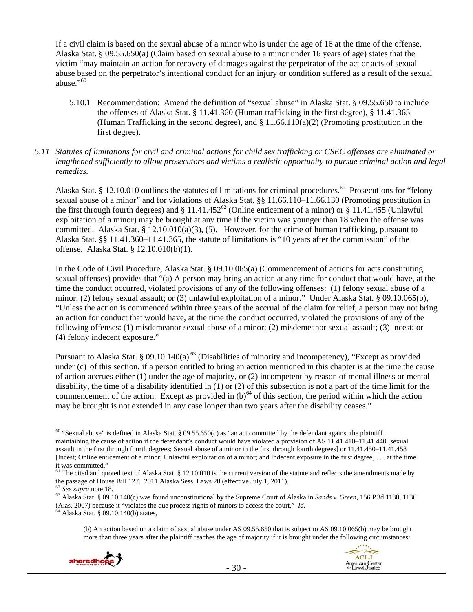If a civil claim is based on the sexual abuse of a minor who is under the age of 16 at the time of the offense, Alaska Stat. § 09.55.650(a) (Claim based on sexual abuse to a minor under 16 years of age) states that the victim "may maintain an action for recovery of damages against the perpetrator of the act or acts of sexual abuse based on the perpetrator's intentional conduct for an injury or condition suffered as a result of the sexual abuse."<sup>60</sup>

- 5.10.1 Recommendation: Amend the definition of "sexual abuse" in Alaska Stat. § 09.55.650 to include the offenses of Alaska Stat. § 11.41.360 (Human trafficking in the first degree), § 11.41.365 (Human Trafficking in the second degree), and  $\S 11.66.110(a)(2)$  (Promoting prostitution in the first degree).
- *5.11 Statutes of limitations for civil and criminal actions for child sex trafficking or CSEC offenses are eliminated or lengthened sufficiently to allow prosecutors and victims a realistic opportunity to pursue criminal action and legal remedies.*

Alaska Stat. § 12.10.010 outlines the statutes of limitations for criminal procedures.<sup>61</sup> Prosecutions for "felony sexual abuse of a minor" and for violations of Alaska Stat. §§ 11.66.110–11.66.130 (Promoting prostitution in the first through fourth degrees) and § 11.41.452<sup>62</sup> (Online enticement of a minor) or § 11.41.455 (Unlawful exploitation of a minor) may be brought at any time if the victim was younger than 18 when the offense was committed. Alaska Stat. § 12.10.010(a)(3), (5). However, for the crime of human trafficking, pursuant to Alaska Stat. §§ 11.41.360–11.41.365, the statute of limitations is "10 years after the commission" of the offense. Alaska Stat. § 12.10.010(b)(1).

In the Code of Civil Procedure, Alaska Stat. § 09.10.065(a) (Commencement of actions for acts constituting sexual offenses) provides that "(a) A person may bring an action at any time for conduct that would have, at the time the conduct occurred, violated provisions of any of the following offenses: (1) felony sexual abuse of a minor; (2) felony sexual assault; or (3) unlawful exploitation of a minor." Under Alaska Stat. § 09.10.065(b), "Unless the action is commenced within three years of the accrual of the claim for relief, a person may not bring an action for conduct that would have, at the time the conduct occurred, violated the provisions of any of the following offenses: (1) misdemeanor sexual abuse of a minor; (2) misdemeanor sexual assault; (3) incest; or (4) felony indecent exposure."

Pursuant to Alaska Stat. § 09.10.140(a)<sup>63</sup> (Disabilities of minority and incompetency), "Except as provided under (c) of this section, if a person entitled to bring an action mentioned in this chapter is at the time the cause of action accrues either (1) under the age of majority, or (2) incompetent by reason of mental illness or mental disability, the time of a disability identified in (1) or (2) of this subsection is not a part of the time limit for the commencement of the action. Except as provided in  $(b)$ <sup>64</sup> of this section, the period within which the action may be brought is not extended in any case longer than two years after the disability ceases."

 $\overline{a}$ 

- 30 -

<sup>(</sup>b) An action based on a claim of sexual abuse under AS 09.55.650 that is subject to AS 09.10.065(b) may be brought more than three years after the plaintiff reaches the age of majority if it is brought under the following circumstances:





<sup>&</sup>lt;sup>60</sup> "Sexual abuse" is defined in Alaska Stat. § 09.55.650(c) as "an act committed by the defendant against the plaintiff maintaining the cause of action if the defendant's conduct would have violated a provision of AS 11.41.410–11.41.440 [sexual assault in the first through fourth degrees; Sexual abuse of a minor in the first through fourth degrees] or 11.41.450–11.41.458 [Incest; Online enticement of a minor; Unlawful exploitation of a minor; and Indecent exposure in the first degree] . . . at the time it was committed."

 $61$  The cited and quoted text of Alaska Stat. § 12.10.010 is the current version of the statute and reflects the amendments made by the passage of House Bill 127. 2011 Alaska Sess. Laws 20 (effective July 1, 2011).  $62$  See supra note 18.

<sup>&</sup>lt;sup>63</sup> Alaska Stat. § 09.10.140(c) was found unconstitutional by the Supreme Court of Alaska in *Sands v. Green*, 156 P.3d 1130, 1136 (Alas. 2007) because it "violates the due process rights of minors to access the court." *Id.* 64 Alaska Stat. § 09.10.140(b) states,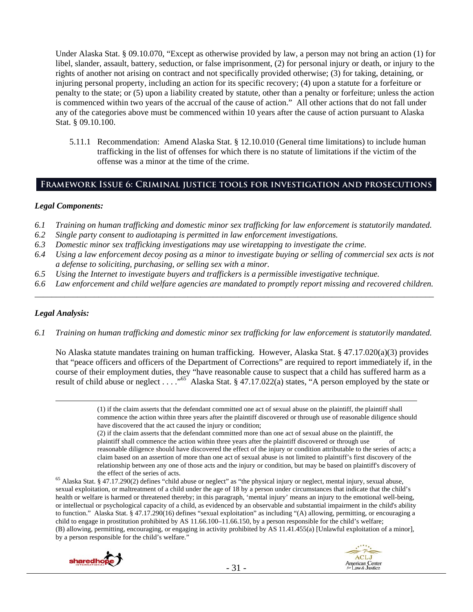Under Alaska Stat. § 09.10.070, "Except as otherwise provided by law, a person may not bring an action (1) for libel, slander, assault, battery, seduction, or false imprisonment, (2) for personal injury or death, or injury to the rights of another not arising on contract and not specifically provided otherwise; (3) for taking, detaining, or injuring personal property, including an action for its specific recovery; (4) upon a statute for a forfeiture or penalty to the state; or (5) upon a liability created by statute, other than a penalty or forfeiture; unless the action is commenced within two years of the accrual of the cause of action." All other actions that do not fall under any of the categories above must be commenced within 10 years after the cause of action pursuant to Alaska Stat. § 09.10.100.

5.11.1 Recommendation: Amend Alaska Stat. § 12.10.010 (General time limitations) to include human trafficking in the list of offenses for which there is no statute of limitations if the victim of the offense was a minor at the time of the crime.

# **Framework Issue 6: Criminal justice tools for investigation and prosecutions**

#### *Legal Components:*

- *6.1 Training on human trafficking and domestic minor sex trafficking for law enforcement is statutorily mandated.*
- *6.2 Single party consent to audiotaping is permitted in law enforcement investigations.*
- *6.3 Domestic minor sex trafficking investigations may use wiretapping to investigate the crime.*
- *6.4 Using a law enforcement decoy posing as a minor to investigate buying or selling of commercial sex acts is not a defense to soliciting, purchasing, or selling sex with a minor.*
- *6.5 Using the Internet to investigate buyers and traffickers is a permissible investigative technique.*
- *6.6 Law enforcement and child welfare agencies are mandated to promptly report missing and recovered children. \_\_\_\_\_\_\_\_\_\_\_\_\_\_\_\_\_\_\_\_\_\_\_\_\_\_\_\_\_\_\_\_\_\_\_\_\_\_\_\_\_\_\_\_\_\_\_\_\_\_\_\_\_\_\_\_\_\_\_\_\_\_\_\_\_\_\_\_\_\_\_\_\_\_\_\_\_\_\_\_\_\_\_\_\_\_\_\_\_\_\_\_\_\_*

## *Legal Analysis:*

*6.1 Training on human trafficking and domestic minor sex trafficking for law enforcement is statutorily mandated.* 

No Alaska statute mandates training on human trafficking. However, Alaska Stat. § 47.17.020(a)(3) provides that "peace officers and officers of the Department of Corrections" are required to report immediately if, in the course of their employment duties, they "have reasonable cause to suspect that a child has suffered harm as a result of child abuse or neglect . . . . "<sup>65</sup> Alaska Stat. § 47.17.022(a) states, "A person employed by the state or

> (1) if the claim asserts that the defendant committed one act of sexual abuse on the plaintiff, the plaintiff shall commence the action within three years after the plaintiff discovered or through use of reasonable diligence should have discovered that the act caused the injury or condition;

> (2) if the claim asserts that the defendant committed more than one act of sexual abuse on the plaintiff, the plaintiff shall commence the action within three years after the plaintiff discovered or through use of reasonable diligence should have discovered the effect of the injury or condition attributable to the series of acts; a claim based on an assertion of more than one act of sexual abuse is not limited to plaintiff's first discovery of the relationship between any one of those acts and the injury or condition, but may be based on plaintiff's discovery of

the effect of the series of acts.<br><sup>65</sup> Alaska Stat. § 47.17.290(2) defines "child abuse or neglect" as "the physical injury or neglect, mental injury, sexual abuse, sexual exploitation, or maltreatment of a child under the age of 18 by a person under circumstances that indicate that the child's health or welfare is harmed or threatened thereby; in this paragraph, 'mental injury' means an injury to the emotional well-being, or intellectual or psychological capacity of a child, as evidenced by an observable and substantial impairment in the child's ability to function." Alaska Stat. § 47.17.290(16) defines "sexual exploitation" as including "(A) allowing, permitting, or encouraging a child to engage in prostitution prohibited by AS 11.66.100–11.66.150, by a person responsible for the child's welfare; (B) allowing, permitting, encouraging, or engaging in activity prohibited by AS 11.41.455(a) [Unlawful exploitation of a minor], by a person responsible for the child's welfare."



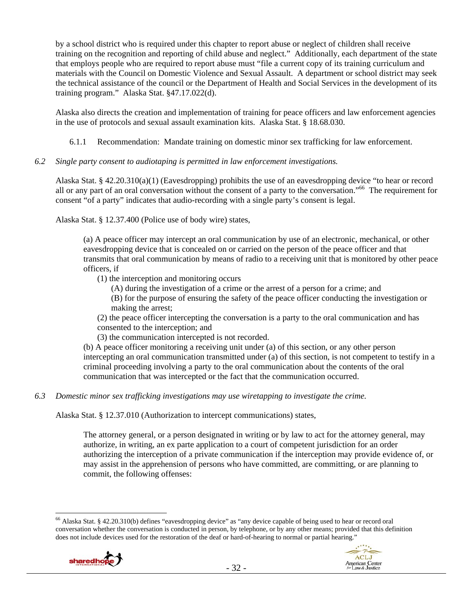by a school district who is required under this chapter to report abuse or neglect of children shall receive training on the recognition and reporting of child abuse and neglect." Additionally, each department of the state that employs people who are required to report abuse must "file a current copy of its training curriculum and materials with the Council on Domestic Violence and Sexual Assault. A department or school district may seek the technical assistance of the council or the Department of Health and Social Services in the development of its training program." Alaska Stat. §47.17.022(d).

Alaska also directs the creation and implementation of training for peace officers and law enforcement agencies in the use of protocols and sexual assault examination kits. Alaska Stat. § 18.68.030.

6.1.1 Recommendation: Mandate training on domestic minor sex trafficking for law enforcement.

## *6.2 Single party consent to audiotaping is permitted in law enforcement investigations.*

Alaska Stat. § 42.20.310(a)(1) (Eavesdropping) prohibits the use of an eavesdropping device "to hear or record all or any part of an oral conversation without the consent of a party to the conversation.<sup>66</sup> The requirement for consent "of a party" indicates that audio-recording with a single party's consent is legal.

Alaska Stat. § 12.37.400 (Police use of body wire) states,

(a) A peace officer may intercept an oral communication by use of an electronic, mechanical, or other eavesdropping device that is concealed on or carried on the person of the peace officer and that transmits that oral communication by means of radio to a receiving unit that is monitored by other peace officers, if

(1) the interception and monitoring occurs

- (A) during the investigation of a crime or the arrest of a person for a crime; and
- (B) for the purpose of ensuring the safety of the peace officer conducting the investigation or making the arrest;

(2) the peace officer intercepting the conversation is a party to the oral communication and has consented to the interception; and

(3) the communication intercepted is not recorded.

(b) A peace officer monitoring a receiving unit under (a) of this section, or any other person intercepting an oral communication transmitted under (a) of this section, is not competent to testify in a criminal proceeding involving a party to the oral communication about the contents of the oral communication that was intercepted or the fact that the communication occurred.

*6.3 Domestic minor sex trafficking investigations may use wiretapping to investigate the crime.* 

Alaska Stat. § 12.37.010 (Authorization to intercept communications) states,

The attorney general, or a person designated in writing or by law to act for the attorney general, may authorize, in writing, an ex parte application to a court of competent jurisdiction for an order authorizing the interception of a private communication if the interception may provide evidence of, or may assist in the apprehension of persons who have committed, are committing, or are planning to commit, the following offenses:

 $\overline{a}$ 66 Alaska Stat. § 42.20.310(b) defines "eavesdropping device" as "any device capable of being used to hear or record oral conversation whether the conversation is conducted in person, by telephone, or by any other means; provided that this definition does not include devices used for the restoration of the deaf or hard-of-hearing to normal or partial hearing."

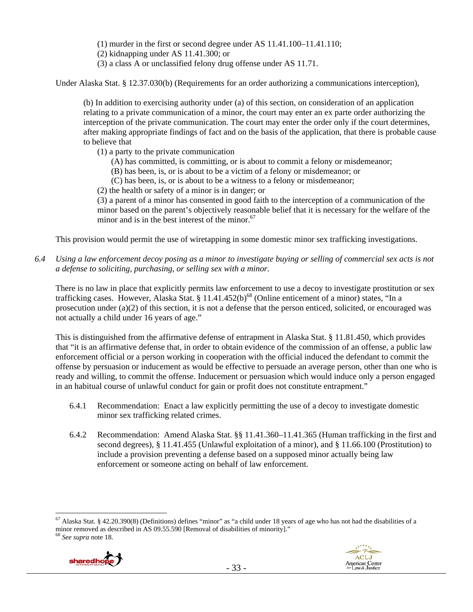(1) murder in the first or second degree under AS 11.41.100–11.41.110;

(2) kidnapping under AS 11.41.300; or

(3) a class A or unclassified felony drug offense under AS 11.71.

Under Alaska Stat. § 12.37.030(b) (Requirements for an order authorizing a communications interception),

(b) In addition to exercising authority under (a) of this section, on consideration of an application relating to a private communication of a minor, the court may enter an ex parte order authorizing the interception of the private communication. The court may enter the order only if the court determines, after making appropriate findings of fact and on the basis of the application, that there is probable cause to believe that

- (1) a party to the private communication
	- (A) has committed, is committing, or is about to commit a felony or misdemeanor;
	- (B) has been, is, or is about to be a victim of a felony or misdemeanor; or
	- (C) has been, is, or is about to be a witness to a felony or misdemeanor;

(2) the health or safety of a minor is in danger; or

(3) a parent of a minor has consented in good faith to the interception of a communication of the minor based on the parent's objectively reasonable belief that it is necessary for the welfare of the minor and is in the best interest of the minor. $67$ 

This provision would permit the use of wiretapping in some domestic minor sex trafficking investigations.

*6.4 Using a law enforcement decoy posing as a minor to investigate buying or selling of commercial sex acts is not a defense to soliciting, purchasing, or selling sex with a minor.* 

There is no law in place that explicitly permits law enforcement to use a decoy to investigate prostitution or sex trafficking cases. However, Alaska Stat. § 11.41.452(b)<sup>68</sup> (Online enticement of a minor) states, "In a prosecution under (a)(2) of this section, it is not a defense that the person enticed, solicited, or encouraged was not actually a child under 16 years of age."

This is distinguished from the affirmative defense of entrapment in Alaska Stat. § 11.81.450, which provides that "it is an affirmative defense that, in order to obtain evidence of the commission of an offense, a public law enforcement official or a person working in cooperation with the official induced the defendant to commit the offense by persuasion or inducement as would be effective to persuade an average person, other than one who is ready and willing, to commit the offense. Inducement or persuasion which would induce only a person engaged in an habitual course of unlawful conduct for gain or profit does not constitute entrapment."

- 6.4.1 Recommendation: Enact a law explicitly permitting the use of a decoy to investigate domestic minor sex trafficking related crimes.
- 6.4.2 Recommendation: Amend Alaska Stat. §§ 11.41.360–11.41.365 (Human trafficking in the first and second degrees), § 11.41.455 (Unlawful exploitation of a minor), and § 11.66.100 (Prostitution) to include a provision preventing a defense based on a supposed minor actually being law enforcement or someone acting on behalf of law enforcement.

<sup>&</sup>lt;sup>67</sup> Alaska Stat. § 42.20.390(8) (Definitions) defines "minor" as "a child under 18 years of age who has not had the disabilities of a minor removed as described in AS 09.55.590 [Removal of disabilities of minority]." <sup>68</sup> *See supra* note 18.